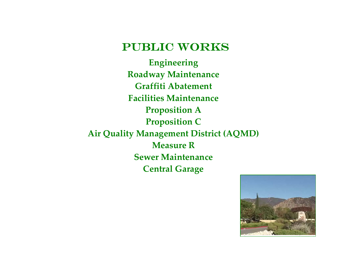# PUBLIC WORKS

**Engineering Roadway Maintenance Graffiti Abatement Facilities Maintenance Proposition A Proposition C Air Quality Management District (AQMD) Measure RSewer Maintenance Central Garage**

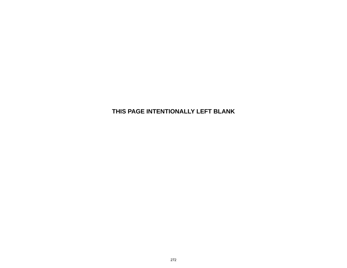### **THIS PAGE INTENTIONALLY LEFT BLANK**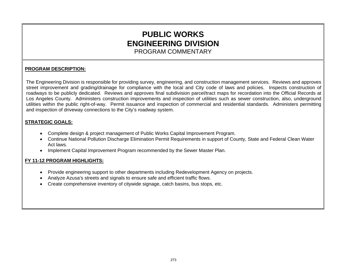## **PUBLIC WORKS ENGINEERING DIVISION**  PROGRAM COMMENTARY

#### **PROGRAM DESCRIPTION:**

The Engineering Division is responsible for providing survey, engineering, and construction management services. Reviews and approves street improvement and grading/drainage for compliance with the local and City code of laws and policies. Inspects construction of roadways to be publicly dedicated. Reviews and approves final subdivision parcel/tract maps for recordation into the Official Records at Los Angeles County. Administers construction improvements and inspection of utilities such as sewer construction, also, underground utilities within the public right-of-way. Permit issuance and inspection of commercial and residential standards. Administers permitting and inspection of driveway connections to the City's roadway system.

#### **STRATEGIC GOALS:**

- Complete design & project management of Public Works Capital Improvement Program.
- Continue National Pollution Discharge Elimination Permit Requirements in support of County, State and Federal Clean Water Act laws.
- Implement Capital Improvement Program recommended by the Sewer Master Plan.

#### **FY 11-12 PROGRAM HIGHLIGHTS:**

- Provide engineering support to other departments including Redevelopment Agency on projects.
- Analyze Azusa's streets and signals to ensure safe and efficient traffic flows.
- Create comprehensive inventory of citywide signage, catch basins, bus stops, etc.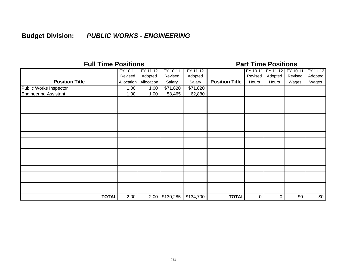## **Full Time Positions**

### **Part Time Positions**

|                              | FY 10-11   | FY 11-12   | FY 10-11         | FY 11-12  |                       |           | FY 10-11 FY 11-12 | FY 10-11 | FY 11-12 |
|------------------------------|------------|------------|------------------|-----------|-----------------------|-----------|-------------------|----------|----------|
|                              | Revised    | Adopted    | Revised          | Adopted   |                       | Revised   | Adopted           | Revised  | Adopted  |
| <b>Position Title</b>        | Allocation | Allocation | Salary           | Salary    | <b>Position Title</b> | Hours     | Hours             | Wages    | Wages    |
| Public Works Inspector       | 1.00       | 1.00       | \$71,820         | \$71,820  |                       |           |                   |          |          |
| <b>Engineering Assistant</b> | 1.00       | 1.00       | 58,465           | 62,880    |                       |           |                   |          |          |
|                              |            |            |                  |           |                       |           |                   |          |          |
|                              |            |            |                  |           |                       |           |                   |          |          |
|                              |            |            |                  |           |                       |           |                   |          |          |
|                              |            |            |                  |           |                       |           |                   |          |          |
|                              |            |            |                  |           |                       |           |                   |          |          |
|                              |            |            |                  |           |                       |           |                   |          |          |
|                              |            |            |                  |           |                       |           |                   |          |          |
|                              |            |            |                  |           |                       |           |                   |          |          |
|                              |            |            |                  |           |                       |           |                   |          |          |
|                              |            |            |                  |           |                       |           |                   |          |          |
|                              |            |            |                  |           |                       |           |                   |          |          |
|                              |            |            |                  |           |                       |           |                   |          |          |
|                              |            |            |                  |           |                       |           |                   |          |          |
|                              |            |            |                  |           |                       |           |                   |          |          |
|                              |            |            |                  |           |                       |           |                   |          |          |
|                              |            |            |                  |           |                       |           |                   |          |          |
| <b>TOTAL</b>                 | 2.00       |            | 2.00   \$130,285 | \$134,700 | <b>TOTAL</b>          | $\pmb{0}$ | 0                 | \$0      | \$0      |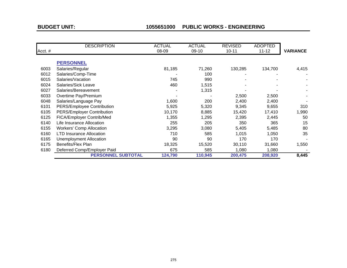#### **1055651000 PUBLIC WORKS - ENGINEERING**

|         | <b>DESCRIPTION</b>                | <b>ACTUAL</b> | <b>ACTUAL</b> | <b>REVISED</b> | <b>ADOPTED</b> |                 |
|---------|-----------------------------------|---------------|---------------|----------------|----------------|-----------------|
| Acct. # |                                   | 08-09         | 09-10         | $10 - 11$      | $11 - 12$      | <b>VARIANCE</b> |
|         |                                   |               |               |                |                |                 |
|         | <b>PERSONNEL</b>                  |               |               |                |                |                 |
| 6003    | Salaries/Regular                  | 81,185        | 71,260        | 130,285        | 134,700        | 4,415           |
| 6012    | Salaries/Comp-Time                |               | 100           |                |                |                 |
| 6015    | Salaries/Vacation                 | 745           | 990           |                |                |                 |
| 6024    | Salaries/Sick Leave               | 460           | 1,515         |                |                |                 |
| 6027    | Salaries/Bereavement              |               | 1,315         |                |                |                 |
| 6033    | Overtime Pay/Premium              |               |               | 2,500          | 2,500          |                 |
| 6048    | Salaries/Language Pay             | 1,600         | 200           | 2,400          | 2,400          |                 |
| 6101    | <b>PERS/Employee Contribution</b> | 5,925         | 5,320         | 9,345          | 9,655          | 310             |
| 6105    | PERS/Employer Contribution        | 10,170        | 8,885         | 15,420         | 17,410         | 1,990           |
| 6125    | FICA/Employer Contrib/Med         | 1,355         | 1,295         | 2,395          | 2,445          | 50              |
| 6140    | Life Insurance Allocation         | 255           | 205           | 350            | 365            | 15              |
| 6155    | <b>Workers' Comp Allocation</b>   | 3,295         | 3,080         | 5,405          | 5,485          | 80              |
| 6160    | <b>LTD Insurance Allocation</b>   | 710           | 585           | 1,015          | 1,050          | 35              |
| 6165    | <b>Unemployment Allocation</b>    | 90            | 90            | 170            | 170            |                 |
| 6175    | Benefits/Flex Plan                | 18,325        | 15,520        | 30,110         | 31,660         | 1,550           |
| 6180    | Deferred Comp/Employer Paid       | 675           | 585           | 1,080          | 1,080          |                 |
|         | <b>PERSONNEL SUBTOTAL</b>         | 124,790       | 110,945       | 200,475        | 208,920        | 8,445           |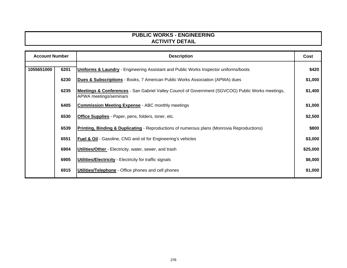#### **PUBLIC WORKS - ENGINEERING ACTIVITY DETAIL**

| <b>Account Number</b> |      | <b>Description</b>                                                                                                          | Cost     |
|-----------------------|------|-----------------------------------------------------------------------------------------------------------------------------|----------|
| 1055651000            | 6201 | <b>Uniforms &amp; Laundry - Engineering Assistant and Public Works Inspector uniforms/boots</b>                             | \$420    |
|                       | 6230 | Dues & Subscriptions - Books, 7 American Public Works Association (APWA) dues                                               | \$1,000  |
|                       | 6235 | Meetings & Conferences - San Gabriel Valley Council of Government (SGVCOG) Public Works meetings,<br>APWA meetings/seminars | \$1,400  |
|                       | 6405 | <b>Commission Meeting Expense</b> - ABC monthly meetings                                                                    | \$1,000  |
|                       | 6530 | <b>Office Supplies</b> - Paper, pens, folders, toner, etc.                                                                  | \$2,500  |
|                       | 6539 | <b>Printing, Binding &amp; Duplicating</b> - Reproductions of numerous plans (Monrovia Reproductions)                       | \$800    |
| 6551                  |      | <b>Fuel &amp; Oil</b> - Gasoline, CNG and oil for Engineering's vehicles                                                    | \$3,000  |
| 6904                  |      | Utilities/Other - Electricity, water, sewer, and trash                                                                      | \$25,000 |
|                       | 6905 | <b>Utilities/Electricity - Electricity for traffic signals</b>                                                              | \$6,000  |
|                       | 6915 | Utilities/Telephone - Office phones and cell phones                                                                         | \$1,000  |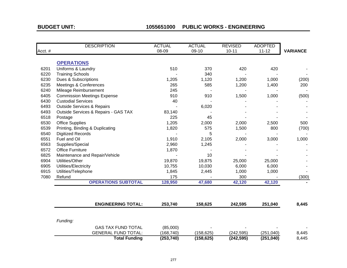#### **1055651000 PUBLIC WORKS - ENGINEERING**

|         | <b>DESCRIPTION</b>                    | <b>ACTUAL</b> | <b>ACTUAL</b> | <b>REVISED</b> | <b>ADOPTED</b> |                 |
|---------|---------------------------------------|---------------|---------------|----------------|----------------|-----------------|
| Acct. # |                                       | 08-09         | 09-10         | $10 - 11$      | $11 - 12$      | <b>VARIANCE</b> |
|         |                                       |               |               |                |                |                 |
|         | <b>OPERATIONS</b>                     |               |               |                |                |                 |
| 6201    | Uniforms & Laundry                    | 510           | 370           | 420            | 420            |                 |
| 6220    | <b>Training Schools</b>               |               | 340           |                |                |                 |
| 6230    | Dues & Subscriptions                  | 1,205         | 1,120         | 1,200          | 1,000          | (200)           |
| 6235    | <b>Meetings &amp; Conferences</b>     | 265           | 585           | 1,200          | 1,400          | 200             |
| 6240    | Mileage Reimbursement                 | 245           |               |                |                |                 |
| 6405    | <b>Commission Meetings Expense</b>    | 910           | 910           | 1,500          | 1,000          | (500)           |
| 6430    | <b>Custodial Services</b>             | 40            |               |                |                |                 |
| 6493    | <b>Outside Services &amp; Repairs</b> |               | 6,020         |                |                |                 |
| 6493    | Outside Services & Repairs - GAS TAX  | 83,140        |               |                |                |                 |
| 6518    | Postage                               | 225           | 45            |                |                |                 |
| 6530    | <b>Office Supplies</b>                | 1,205         | 2,000         | 2,000          | 2,500          | 500             |
| 6539    | Printing, Binding & Duplicating       | 1,820         | 575           | 1,500          | 800            | (700)           |
| 6540    | <b>Digitized Records</b>              |               | 5             |                |                |                 |
| 6551    | Fuel and Oil                          | 1,910         | 2,105         | 2,000          | 3,000          | 1,000           |
| 6563    | Supplies/Special                      | 2,960         | 1,245         |                |                |                 |
| 6572    | <b>Office Furniture</b>               | 1,870         |               |                |                |                 |
| 6825    | Maintenance and Repair/Vehicle        |               | 10            |                |                |                 |
| 6904    | Utilities/Other                       | 19,870        | 19,875        | 25,000         | 25,000         |                 |
| 6905    | Utilities/Electricity                 | 10,755        | 10,030        | 6,000          | 6,000          |                 |
| 6915    | Utilities/Telephone                   | 1,845         | 2,445         | 1,000          | 1,000          |                 |
| 7080    | Refund                                | 175           |               | 300            |                | (300)           |
|         | <b>OPERATIONS SUBTOTAL</b>            | 128,950       | 47,680        | 42,120         | 42,120         |                 |
|         |                                       |               |               |                |                |                 |
|         |                                       |               |               |                |                |                 |
|         | <b>ENGINEERING TOTAL:</b>             | 253,740       | 158,625       | 242,595        | 251,040        | 8,445           |
|         |                                       |               |               |                |                |                 |
|         | Funding:                              |               |               |                |                |                 |
|         | <b>GAS TAX FUND TOTAL</b>             | (85,000)      |               |                |                |                 |
|         | <b>GENERAL FUND TOTAL:</b>            | (168, 740)    | (158, 625)    | (242, 595)     | (251, 040)     | 8,445           |
|         | <b>Total Funding</b>                  | (253, 740)    | (158, 625)    | (242, 595)     | (251, 040)     | 8,445           |
|         |                                       |               |               |                |                |                 |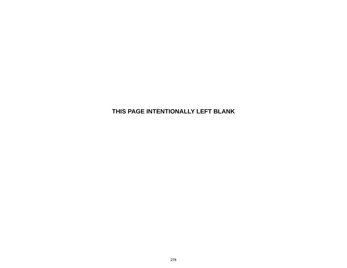### **THIS PAGE INTENTIONALLY LEFT BLANK**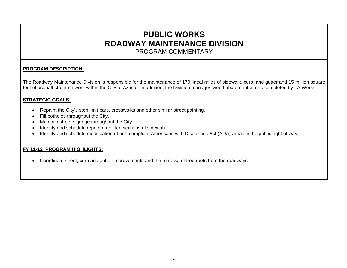# **PUBLIC WORKS ROADWAY MAINTENANCE DIVISION**

PROGRAM COMMENTARY

#### **PROGRAM DESCRIPTION:**

The Roadway Maintenance Division is responsible for the maintenance of 170 lineal miles of sidewalk, curb, and gutter and 15 million square feet of asphalt street network within the City of Azusa. In addition, the Division manages weed abatement efforts completed by LA Works.

#### **STRATEGIC GOALS:**

- Repaint the City's stop limit bars, crosswalks and other similar street painting.
- Fill potholes throughout the City.
- Maintain street signage throughout the City.
- Identify and schedule repair of uplifted sections of sidewalk
- Identify and schedule modification of non-compliant Americans with Disabilities Act (ADA) areas in the public right of way.

#### **FY 11-12 PROGRAM HIGHLIGHTS:**

• Coordinate street, curb and gutter improvements and the removal of tree roots from the roadways.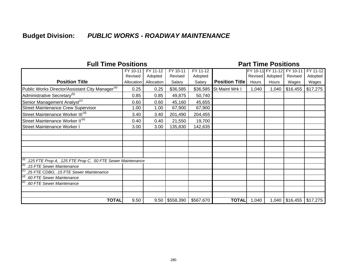## **Budget Division:** *PUBLIC WORKS - ROADWAY MAINTENANCE*

## **Full Time Positions**

## **Part Time Positions**

|                                                             | FY 10-11   | FY 11-12   | FY 10-11         | FY 11-12  |                         |         | FY 10-11 FY 11-12 | FY 10-11 | FY 11-12 |
|-------------------------------------------------------------|------------|------------|------------------|-----------|-------------------------|---------|-------------------|----------|----------|
|                                                             | Revised    | Adopted    | Revised          | Adopted   |                         | Revised | Adopted           | Revised  | Adopted  |
| <b>Position Title</b>                                       | Allocation | Allocation | Salary           | Salary    | <b>Position Title</b>   | Hours   | Hours             | Wages    | Wages    |
| Public Works Director/Assistant City Manager <sup>(a)</sup> | 0.25       | 0.25       | \$36,585         |           | \$36,585 St Maint Wrk I | 1,040   | 1,040             | \$16,455 | \$17,275 |
| Administrative Secretary <sup>(b)</sup>                     | 0.85       | 0.85       | 49,875           | 50,740    |                         |         |                   |          |          |
| Senior Management Analyst <sup>(c)</sup>                    | 0.60       | 0.60       | 45,160           | 45,655    |                         |         |                   |          |          |
| <b>Street Maintenance Crew Supervisor</b>                   | 1.00       | 1.00       | 67,900           | 67,900    |                         |         |                   |          |          |
| Street Maintenance Worker III <sup>(d)</sup>                | 3.40       | 3.40       | 201,490          | 204,455   |                         |         |                   |          |          |
| Street Maintenance Worker II <sup>(e)</sup>                 | 0.40       | 0.40       | 21,550           | 19,700    |                         |         |                   |          |          |
| <b>Street Maintenance Worker I</b>                          | 3.00       | 3.00       | 135,830          | 142,635   |                         |         |                   |          |          |
|                                                             |            |            |                  |           |                         |         |                   |          |          |
|                                                             |            |            |                  |           |                         |         |                   |          |          |
|                                                             |            |            |                  |           |                         |         |                   |          |          |
|                                                             |            |            |                  |           |                         |         |                   |          |          |
| .125 FTE Prop A, .125 FTE Prop C, .50 FTE Sewer Maintenance |            |            |                  |           |                         |         |                   |          |          |
| .15 FTE Sewer Maintenance                                   |            |            |                  |           |                         |         |                   |          |          |
| .25 FTE CDBG, .15 FTE Sewer Maintenance                     |            |            |                  |           |                         |         |                   |          |          |
| .60 FTE Sewer Maintenance                                   |            |            |                  |           |                         |         |                   |          |          |
| .60 FTE Sewer Maintenance                                   |            |            |                  |           |                         |         |                   |          |          |
|                                                             |            |            |                  |           |                         |         |                   |          |          |
| <b>TOTAL</b>                                                | 9.50       |            | $9.50$ \$558,390 | \$567,670 | <b>TOTAL</b>            |         | 1,040             | \$16,455 | \$17,275 |
|                                                             |            |            |                  |           |                         | 1,040   |                   |          |          |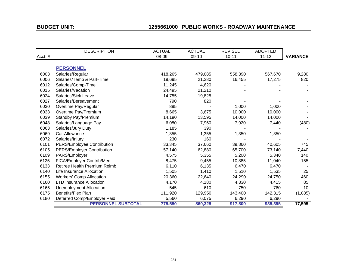#### **1255661000 PUBLIC WORKS - ROADWAY MAINTENANCE**

|         | <b>DESCRIPTION</b>              | <b>ACTUAL</b> | <b>ACTUAL</b> | <b>REVISED</b> | <b>ADOPTED</b> |                 |
|---------|---------------------------------|---------------|---------------|----------------|----------------|-----------------|
| Acct. # |                                 | 08-09         | 09-10         | $10 - 11$      | $11 - 12$      | <b>VARIANCE</b> |
|         |                                 |               |               |                |                |                 |
|         | <b>PERSONNEL</b>                |               |               |                |                |                 |
| 6003    | Salaries/Regular                | 418,265       | 479,085       | 558,390        | 567,670        | 9,280           |
| 6006    | Salaries/Temp & Part-Time       | 19,695        | 21,280        | 16,455         | 17,275         | 820             |
| 6012    | Salaries/Comp-Time              | 11,245        | 4,620         |                |                |                 |
| 6015    | Salaries/Vacation               | 24,495        | 21,210        |                |                |                 |
| 6024    | Salaries/Sick Leave             | 14,755        | 19,825        |                |                |                 |
| 6027    | Salaries/Bereavement            | 790           | 820           |                |                |                 |
| 6030    | Overtime Pay/Regular            | 895           |               | 1,000          | 1,000          |                 |
| 6033    | Overtime Pay/Premium            | 8,665         | 3,675         | 10,000         | 10,000         |                 |
| 6039    | Standby Pay/Premium             | 14,190        | 13,595        | 14,000         | 14,000         |                 |
| 6048    | Salaries/Language Pay           | 6,080         | 7,960         | 7,920          | 7,440          | (480)           |
| 6063    | Salaries/Jury Duty              | 1,185         | 390           |                |                |                 |
| 6069    | Car Allowance                   | 1,355         | 1,355         | 1,350          | 1,350          |                 |
| 6072    | Salaries/Injury                 | 230           | 160           |                |                |                 |
| 6101    | PERS/Employee Contribution      | 33,345        | 37,660        | 39,860         | 40,605         | 745             |
| 6105    | PERS/Employer Contribution      | 57,140        | 62,880        | 65,700         | 73,140         | 7,440           |
| 6109    | PARS/Employer                   | 4,575         | 5,355         | 5,200          | 5,340          | 140             |
| 6125    | FICA/Employer Contrib/Med       | 8,475         | 9,455         | 10,885         | 11,040         | 155             |
| 6133    | Retiree Health Premium Reimb    | 6,110         | 6,135         | 6,470          | 6,470          |                 |
| 6140    | Life Insurance Allocation       | 1,505         | 1,410         | 1,510          | 1,535          | 25              |
| 6155    | <b>Workers' Comp Allocation</b> | 20,360        | 22,640        | 24,290         | 24,750         | 460             |
| 6160    | <b>LTD Insurance Allocation</b> | 4,170         | 4,180         | 4,330          | 4,415          | 85              |
| 6165    | <b>Unemployment Allocation</b>  | 545           | 610           | 750            | 760            | 10              |
| 6175    | <b>Benefits/Flex Plan</b>       | 111,920       | 129,950       | 143,400        | 142,315        | (1,085)         |
| 6180    | Deferred Comp/Employer Paid     | 5,560         | 6,075         | 6,290          | 6,290          |                 |
|         | <b>PERSONNEL SUBTOTAL</b>       | 775,550       | 860,325       | 917,800        | 935,395        | 17,595          |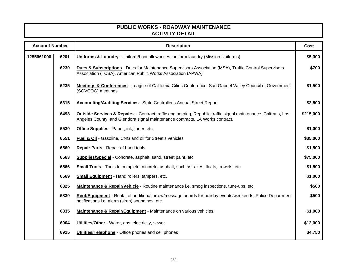|                       |      | <b>ACTIVITY DETAIL</b>                                                                                                                                                                                    |           |
|-----------------------|------|-----------------------------------------------------------------------------------------------------------------------------------------------------------------------------------------------------------|-----------|
| <b>Account Number</b> |      | <b>Description</b>                                                                                                                                                                                        | Cost      |
| 1255661000            | 6201 | <b>Uniforms &amp; Laundry</b> - Uniform/boot allowances, uniform laundry (Mission Uniforms)                                                                                                               | \$5,300   |
|                       | 6230 | <b>Dues &amp; Subscriptions</b> - Dues for Maintenance Supervisors Association (MSA), Traffic Control Supervisors<br>Association (TCSA), American Public Works Association (APWA)                         | \$700     |
|                       | 6235 | Meetings & Conferences - League of California Cities Conference, San Gabriel Valley Council of Government<br>(SGVCOG) meetings                                                                            | \$1,500   |
|                       | 6315 | <b>Accounting/Auditing Services</b> - State Controller's Annual Street Report                                                                                                                             | \$2,500   |
|                       | 6493 | <b>Outside Services &amp; Repairs -</b> Contract traffic engineering, Republic traffic signal maintenance, Caltrans, Los<br>Angeles County, and Glendora signal maintenance contracts, LA Works contract. | \$215,000 |
|                       | 6530 | Office Supplies - Paper, ink, toner, etc.                                                                                                                                                                 | \$1,000   |
|                       | 6551 | Fuel & Oil - Gasoline, CNG and oil for Street's vehicles                                                                                                                                                  | \$35,000  |
|                       | 6560 | <b>Repair Parts</b> - Repair of hand tools                                                                                                                                                                | \$1,500   |
|                       | 6563 | <b>Supplies/Special</b> - Concrete, asphalt, sand, street paint, etc.                                                                                                                                     | \$75,000  |
|                       | 6566 | <b>Small Tools</b> - Tools to complete concrete, asphalt, such as rakes, floats, trowels, etc.                                                                                                            | \$1,500   |
|                       | 6569 | <b>Small Equipment</b> - Hand rollers, tampers, etc.                                                                                                                                                      | \$1,000   |
|                       | 6825 | Maintenance & Repair/Vehicle - Routine maintenance i.e. smog inspections, tune-ups, etc.                                                                                                                  | \$500     |
|                       | 6830 | Rent/Equipment - Rental of additional arrow/message boards for holiday events/weekends, Police Department<br>notifications i.e. alarm (siren) soundings, etc.                                             | \$500     |
|                       | 6835 | Maintenance & Repair/Equipment - Maintenance on various vehicles.                                                                                                                                         | \$1,000   |
|                       | 6904 | Utilities/Other - Water, gas, electricity, sewer                                                                                                                                                          | \$12,000  |
|                       | 6915 | Utilities/Telephone - Office phones and cell phones                                                                                                                                                       | \$4,750   |

**PUBLIC WORKS - ROADWAY MAINTENANCE**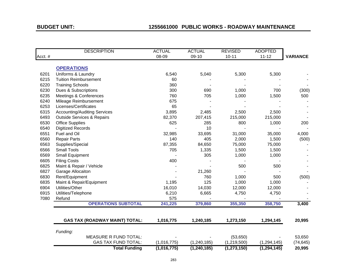#### **1255661000 PUBLIC WORKS - ROADWAY MAINTENANCE**

|         | <b>DESCRIPTION</b>                    | <b>ACTUAL</b> | <b>ACTUAL</b> | <b>REVISED</b> | <b>ADOPTED</b> |                 |
|---------|---------------------------------------|---------------|---------------|----------------|----------------|-----------------|
| Acct. # |                                       | 08-09         | 09-10         | $10 - 11$      | $11 - 12$      | <b>VARIANCE</b> |
|         |                                       |               |               |                |                |                 |
|         | <b>OPERATIONS</b>                     |               |               |                |                |                 |
| 6201    | Uniforms & Laundry                    | 6,540         | 5,040         | 5,300          | 5,300          |                 |
| 6215    | <b>Tuition Reimbursement</b>          | 60            |               |                |                |                 |
| 6220    | <b>Training Schools</b>               | 360           |               |                |                |                 |
| 6230    | Dues & Subscriptions                  | 300           | 690           | 1,000          | 700            | (300)           |
| 6235    | Meetings & Conferences                | 760           | 705           | 1,000          | 1,500          | 500             |
| 6240    | Mileage Reimbursement                 | 675           |               |                |                |                 |
| 6253    | Licenses/Certificates                 | 65            |               |                |                |                 |
| 6315    | <b>Accounting/Auditing Services</b>   | 3,895         | 2,485         | 2,500          | 2,500          |                 |
| 6493    | <b>Outside Services &amp; Repairs</b> | 82,370        | 207,415       | 215,000        | 215,000        |                 |
| 6530    | <b>Office Supplies</b>                | 625           | 285           | 800            | 1,000          | 200             |
| 6540    | <b>Digitized Records</b>              |               | 10            |                |                |                 |
| 6551    | Fuel and Oil                          | 32,985        | 33,695        | 31,000         | 35,000         | 4,000           |
| 6560    | <b>Repair Parts</b>                   | 140           | 405           | 2,000          | 1,500          | (500)           |
| 6563    | Supplies/Special                      | 87,355        | 84,650        | 75,000         | 75,000         |                 |
| 6566    | <b>Small Tools</b>                    | 705           | 1,335         | 1,500          | 1,500          |                 |
| 6569    | <b>Small Equipment</b>                |               | 305           | 1,000          | 1,000          |                 |
| 6605    | <b>Filing Costs</b>                   | 400           |               |                |                |                 |
| 6825    | Maint & Repair / Vehicle              |               |               | 500            | 500            |                 |
| 6827    | Garage Allocaiton                     |               | 21,260        |                |                |                 |
| 6830    | Rent/Equipment                        |               | 760           | 1,000          | 500            | (500)           |
| 6835    | Maint & Repair/Equipment              | 1,195         | 125           | 1,000          | 1,000          |                 |
| 6904    | Utilities/Other                       | 16,010        | 14,030        | 12,000         | 12,000         |                 |
| 6915    | Utilities/Telephone                   | 6,210         | 6,665         | 4,750          | 4,750          |                 |
| 7080    | Refund                                | 575           |               |                |                |                 |
|         | <b>OPERATIONS SUBTOTAL</b>            | 241,225       | 379,860       | 355,350        | 358,750        | 3,400           |
|         |                                       |               |               |                |                |                 |
|         | <b>GAS TAX (ROADWAY MAINT) TOTAL:</b> | 1,016,775     | 1,240,185     | 1,273,150      | 1,294,145      | 20,995          |
|         |                                       |               |               |                |                |                 |
|         | Funding:                              |               |               |                |                |                 |
|         | <b>MEASURE R FUND TOTAL:</b>          |               |               | (53, 650)      |                | 53,650          |
|         | <b>GAS TAX FUND TOTAL:</b>            | (1,016,775)   | (1, 240, 185) | (1,219,500)    | (1, 294, 145)  | (74, 645)       |
|         | <b>Total Funding</b>                  | (1,016,775)   | (1, 240, 185) | (1, 273, 150)  | (1, 294, 145)  | 20,995          |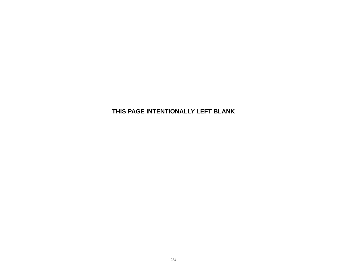### **THIS PAGE INTENTIONALLY LEFT BLANK**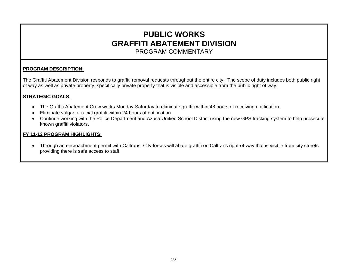# **PUBLIC WORKS GRAFFITI ABATEMENT DIVISION**

PROGRAM COMMENTARY

#### **PROGRAM DESCRIPTION:**

The Graffiti Abatement Division responds to graffiti removal requests throughout the entire city. The scope of duty includes both public right of way as well as private property, specifically private property that is visible and accessible from the public right of way.

#### **STRATEGIC GOALS:**

- The Graffiti Abatement Crew works Monday-Saturday to eliminate graffiti within 48 hours of receiving notification.
- Eliminate vulgar or racial graffiti within 24 hours of notification.
- Continue working with the Police Department and Azusa Unified School District using the new GPS tracking system to help prosecute known graffiti violators.

#### **FY 11-12 PROGRAM HIGHLIGHTS:**

• Through an encroachment permit with Caltrans, City forces will abate graffiti on Caltrans right-of-way that is visible from city streets providing there is safe access to staff.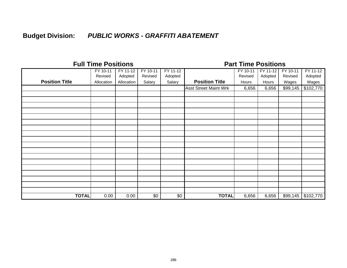## **Budget Division:** *PUBLIC WORKS - GRAFFITI ABATEMENT*

## **Full Time Positions**

### **Part Time Positions**

|                       | FY 10-11   | FY 11-12   | FY 10-11   | FY 11-12    |                              | FY 10-11 | FY 11-12 | FY 10-11         | FY 11-12             |
|-----------------------|------------|------------|------------|-------------|------------------------------|----------|----------|------------------|----------------------|
|                       | Revised    | Adopted    | Revised    | Adopted     |                              | Revised  | Adopted  | Revised          | Adopted              |
| <b>Position Title</b> | Allocation | Allocation | Salary     | Salary      | <b>Position Title</b>        | Hours    | Hours    | Wages            | Wages                |
|                       |            |            |            |             | <b>Asst Street Maint Wrk</b> | 6,656    | 6,656    | $\sqrt{$99,145}$ | \$102,770            |
|                       |            |            |            |             |                              |          |          |                  |                      |
|                       |            |            |            |             |                              |          |          |                  |                      |
|                       |            |            |            |             |                              |          |          |                  |                      |
|                       |            |            |            |             |                              |          |          |                  |                      |
|                       |            |            |            |             |                              |          |          |                  |                      |
|                       |            |            |            |             |                              |          |          |                  |                      |
|                       |            |            |            |             |                              |          |          |                  |                      |
|                       |            |            |            |             |                              |          |          |                  |                      |
|                       |            |            |            |             |                              |          |          |                  |                      |
|                       |            |            |            |             |                              |          |          |                  |                      |
|                       |            |            |            |             |                              |          |          |                  |                      |
|                       |            |            |            |             |                              |          |          |                  |                      |
|                       |            |            |            |             |                              |          |          |                  |                      |
|                       |            |            |            |             |                              |          |          |                  |                      |
|                       |            |            |            |             |                              |          |          |                  |                      |
|                       |            |            |            |             |                              |          |          |                  |                      |
|                       |            |            |            |             |                              |          |          |                  |                      |
|                       |            |            |            |             |                              |          |          |                  |                      |
| <b>TOTAL</b>          | 0.00       | 0.00       | $\sqrt{6}$ | $\sqrt{$0}$ | <b>TOTAL</b>                 | 6,656    | 6,656    |                  | $$99,145$ $$102,770$ |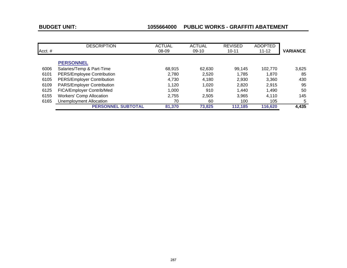#### **1055664000 PUBLIC WORKS - GRAFFITI ABATEMENT**

| Acct. $#$ | <b>DESCRIPTION</b>                | <b>ACTUAL</b><br>08-09 | <b>ACTUAL</b><br>$09-10$ | <b>REVISED</b><br>$10 - 11$ | <b>ADOPTED</b><br>$11 - 12$ | <b>VARIANCE</b> |
|-----------|-----------------------------------|------------------------|--------------------------|-----------------------------|-----------------------------|-----------------|
|           | <b>PERSONNEL</b>                  |                        |                          |                             |                             |                 |
| 6006      | Salaries/Temp & Part-Time         | 68,915                 | 62,630                   | 99,145                      | 102,770                     | 3,625           |
| 6101      | PERS/Employee Contribution        | 2,780                  | 2,520                    | 1.785                       | 1,870                       | 85              |
| 6105      | <b>PERS/Employer Contribution</b> | 4,730                  | 4,180                    | 2,930                       | 3,360                       | 430             |
| 6109      | PARS/Employer Contribution        | 1,120                  | 1,020                    | 2,820                       | 2,915                       | 95              |
| 6125      | FICA/Employer Contrib/Med         | 1.000                  | 910                      | 1.440                       | 1.490                       | 50              |
| 6155      | <b>Workers' Comp Allocation</b>   | 2,755                  | 2,505                    | 3,965                       | 4,110                       | 145             |
| 6165      | <b>Unemployment Allocation</b>    | 70                     | 60                       | 100                         | 105                         | 5               |
|           | <b>PERSONNEL SUBTOTAL</b>         | 81,370                 | 73,825                   | 112,185                     | 116,620                     | 4,435           |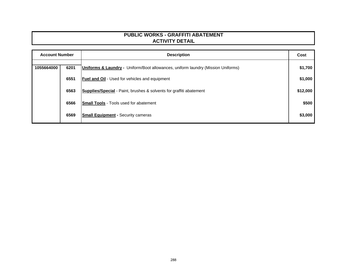#### **PUBLIC WORKS - GRAFFITI ABATEMENT ACTIVITY DETAIL**

| <b>Account Number</b> |      | <b>Description</b>                                                                          |          |  |  |  |
|-----------------------|------|---------------------------------------------------------------------------------------------|----------|--|--|--|
| 1055664000            | 6201 | <b>Uniforms &amp; Laundry - Uniform/Boot allowances, uniform laundry (Mission Uniforms)</b> | \$1,700  |  |  |  |
|                       | 6551 | <b>Fuel and Oil - Used for vehicles and equipment</b>                                       | \$1,000  |  |  |  |
|                       | 6563 | <b>Supplies/Special</b> - Paint, brushes & solvents for graffiti abatement                  | \$12,000 |  |  |  |
|                       | 6566 | <b>Small Tools</b> - Tools used for abatement                                               | \$500    |  |  |  |
|                       | 6569 | <b>Small Equipment - Security cameras</b>                                                   | \$3,000  |  |  |  |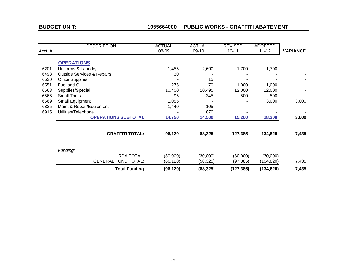#### **1055664000 PUBLIC WORKS - GRAFFITI ABATEMENT**

|        | <b>DESCRIPTION</b>                    | <b>ACTUAL</b> | <b>ACTUAL</b> | <b>REVISED</b> | <b>ADOPTED</b> |                 |
|--------|---------------------------------------|---------------|---------------|----------------|----------------|-----------------|
| Acct.# |                                       | 08-09         | 09-10         | $10 - 11$      | $11 - 12$      | <b>VARIANCE</b> |
|        | <b>OPERATIONS</b>                     |               |               |                |                |                 |
| 6201   | Uniforms & Laundry                    | 1,455         | 2,600         | 1,700          | 1,700          |                 |
| 6493   | <b>Outside Services &amp; Repairs</b> | 30            |               |                |                |                 |
| 6530   | <b>Office Supplies</b>                |               | 15            |                |                |                 |
| 6551   | Fuel and Oil                          | 275           | 70            | 1,000          | 1,000          |                 |
| 6563   | Supplies/Special                      | 10,400        | 10,495        | 12,000         | 12,000         |                 |
| 6566   | <b>Small Tools</b>                    | 95            | 345           | 500            | 500            |                 |
| 6569   | Small Equipment                       | 1,055         |               |                | 3,000          | 3,000           |
| 6835   | Maint & Repair/Equipment              | 1,440         | 105           |                |                |                 |
| 6915   | Utilities/Telephone                   |               | 870           |                |                |                 |
|        | <b>OPERATIONS SUBTOTAL</b>            | 14,750        | 14,500        | 15,200         | 18,200         | 3,000           |
|        |                                       |               |               |                |                |                 |
|        |                                       |               |               |                |                |                 |
|        | <b>GRAFFITI TOTAL:</b>                | 96,120        | 88,325        | 127,385        | 134,820        | 7,435           |
|        |                                       |               |               |                |                |                 |
|        |                                       |               |               |                |                |                 |
|        | Funding:<br><b>RDA TOTAL:</b>         |               |               |                |                |                 |
|        | <b>GENERAL FUND TOTAL:</b>            | (30,000)      | (30,000)      | (30,000)       | (30,000)       |                 |
|        |                                       | (66, 120)     | (58,325)      | (97, 385)      | (104, 820)     | 7,435           |
|        | <b>Total Funding</b>                  | (96, 120)     | (88, 325)     | (127, 385)     | (134, 820)     | 7,435           |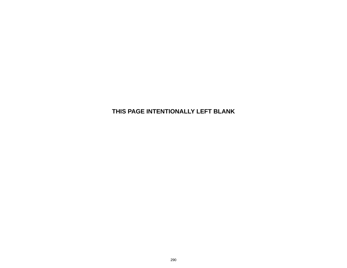### **THIS PAGE INTENTIONALLY LEFT BLANK**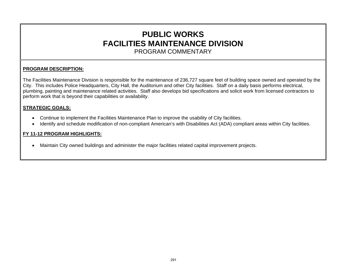## **PUBLIC WORKS FACILITIES MAINTENANCE DIVISION**  PROGRAM COMMENTARY

#### **PROGRAM DESCRIPTION:**

The Facilities Maintenance Division is responsible for the maintenance of 236,727 square feet of building space owned and operated by the City. This includes Police Headquarters, City Hall, the Auditorium and other City facilities. Staff on a daily basis performs electrical, plumbing, painting and maintenance related activities. Staff also develops bid specifications and solicit work from licensed contractors to perform work that is beyond their capabilities or availability.

#### **STRATEGIC GOALS:**

- Continue to implement the Facilities Maintenance Plan to improve the usability of City facilities.
- Identify and schedule modification of non-compliant American's with Disabilities Act (ADA) compliant areas within City facilities.

#### **FY 11-12 PROGRAM HIGHLIGHTS:**

• Maintain City owned buildings and administer the major facilities related capital improvement projects.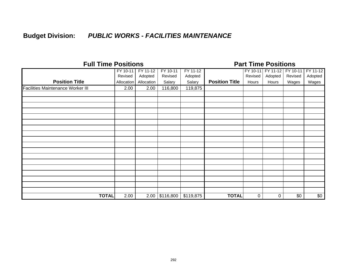## **Budget Division:** *PUBLIC WORKS - FACILITIES MAINTENANCE*

## **Full Time Positions**

### **Part Time Positions**

|                                          | $FY$ 10-11 | FY 11-12   | FY 10-11       | FY 11-12  |                       |         | FY 10-11 FY 11-12 | FY 10-11 | FY 11-12   |
|------------------------------------------|------------|------------|----------------|-----------|-----------------------|---------|-------------------|----------|------------|
|                                          | Revised    | Adopted    | Revised        | Adopted   |                       | Revised | Adopted           | Revised  | Adopted    |
| <b>Position Title</b>                    | Allocation | Allocation | Salary         | Salary    | <b>Position Title</b> | Hours   | Hours             | Wages    | Wages      |
| <b>Facilities Maintenance Worker III</b> | 2.00       | 2.00       | 116,800        | 119,875   |                       |         |                   |          |            |
|                                          |            |            |                |           |                       |         |                   |          |            |
|                                          |            |            |                |           |                       |         |                   |          |            |
|                                          |            |            |                |           |                       |         |                   |          |            |
|                                          |            |            |                |           |                       |         |                   |          |            |
|                                          |            |            |                |           |                       |         |                   |          |            |
|                                          |            |            |                |           |                       |         |                   |          |            |
|                                          |            |            |                |           |                       |         |                   |          |            |
|                                          |            |            |                |           |                       |         |                   |          |            |
|                                          |            |            |                |           |                       |         |                   |          |            |
|                                          |            |            |                |           |                       |         |                   |          |            |
|                                          |            |            |                |           |                       |         |                   |          |            |
|                                          |            |            |                |           |                       |         |                   |          |            |
|                                          |            |            |                |           |                       |         |                   |          |            |
|                                          |            |            |                |           |                       |         |                   |          |            |
|                                          |            |            |                |           |                       |         |                   |          |            |
|                                          |            |            |                |           |                       |         |                   |          |            |
|                                          |            |            |                |           |                       |         |                   |          |            |
|                                          |            |            |                |           |                       |         |                   |          |            |
| <b>TOTAL</b>                             | 2.00       |            | 2.00 \$116,800 | \$119,875 | <b>TOTAL</b>          | 0       | 0                 | \$0      | $\sqrt{6}$ |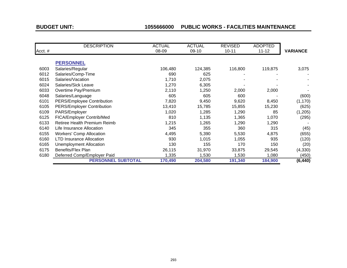#### **1055666000 PUBLIC WORKS - FACILITIES MAINTENANCE**

|         | <b>DESCRIPTION</b>                | <b>ACTUAL</b> | <b>ACTUAL</b> | <b>REVISED</b> | <b>ADOPTED</b> |                 |
|---------|-----------------------------------|---------------|---------------|----------------|----------------|-----------------|
| Acct. # |                                   | 08-09         | 09-10         | $10 - 11$      | $11 - 12$      | <b>VARIANCE</b> |
|         |                                   |               |               |                |                |                 |
|         | <b>PERSONNEL</b>                  |               |               |                |                |                 |
| 6003    | Salaries/Regular                  | 106,480       | 124,385       | 116,800        | 119,875        | 3,075           |
| 6012    | Salaries/Comp-Time                | 690           | 625           |                |                |                 |
| 6015    | Salaries/Vacation                 | 1,710         | 2,075         |                |                |                 |
| 6024    | Salaries/Sick Leave               | 1,270         | 6,305         |                |                |                 |
| 6033    | Overtime Pay/Premium              | 2,110         | 1,250         | 2,000          | 2,000          |                 |
| 6048    | Salaries/Language                 | 605           | 605           | 600            |                | (600)           |
| 6101    | <b>PERS/Employee Contribution</b> | 7,820         | 9,450         | 9,620          | 8,450          | (1, 170)        |
| 6105    | <b>PERS/Employer Contribution</b> | 13,410        | 15,785        | 15,855         | 15,230         | (625)           |
| 6109    | PARS/Employer                     | 1,020         | 1,285         | 1,290          | 85             | (1,205)         |
| 6125    | FICA/Employer Contrib/Med         | 810           | 1,135         | 1,365          | 1,070          | (295)           |
| 6133    | Retiree Health Premium Reimb      | 1,215         | 1,265         | 1,290          | 1,290          |                 |
| 6140    | Life Insurance Allocation         | 345           | 355           | 360            | 315            | (45)            |
| 6155    | <b>Workers' Comp Allocation</b>   | 4,495         | 5,390         | 5,530          | 4,875          | (655)           |
| 6160    | <b>LTD Insurance Allocation</b>   | 930           | 1,015         | 1,055          | 935            | (120)           |
| 6165    | <b>Unemployment Allocation</b>    | 130           | 155           | 170            | 150            | (20)            |
| 6175    | Benefits/Flex Plan                | 26,115        | 31,970        | 33,875         | 29,545         | (4,330)         |
| 6180    | Deferred Comp/Employer Paid       | 1,335         | 1,530         | 1,530          | 1,080          | (450)           |
|         | <b>PERSONNEL SUBTOTAL</b>         | 170,490       | 204,580       | 191,340        | 184,900        | (6, 440)        |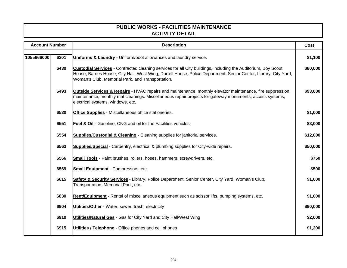#### **Cost1055666000 6201 \$1,100 Uniforms & Laundry** - Uniform/boot allowances and laundry service. **6430 \$80,000 Custodial Services** - Contracted cleaning services for all City buildings, including the Auditorium, Boy Scout **6493 \$93,000 Outside Services & Repairs** - HVAC repairs and maintenance, monthly elevator maintenance, fire suppression **6530 \$1,000 Office Supplies** - Miscellaneous office stationeries. **6551 \$3,000 Fuel & Oil** - Gasoline, CNG and oil for the Facilities vehicles. **6554 \$12,000 Supplies/Custodial & Cleaning** - Cleaning supplies for janitorial services. **6563 \$50,000 Supplies/Special** - Carpentry, electrical & plumbing supplies for City-wide repairs. **6566 \$750 Small Tools** - Paint brushes, rollers, hoses, hammers, screwdrivers, etc. **6569 \$500 Small Equipment** - Compressors, etc. **6615 \$1,000 Safety & Security Services** - Library, Police Department, Senior Center, City Yard, Woman's Club, **6830 \$1,000 Rent/Equipment** - Rental of miscellaneous equipment such as scissor lifts, pumping systems, etc. **6904 \$90,000 Utilities/Other** - Water, sewer, trash, electricity **6910 \$2,000 Utilities/Natural Gas** - Gas for City Yard and City Hall/West Wing **6915 \$1,200 Utilities / Telephone** - Office phones and cell phones Transportation, Memorial Park, etc. **ACTIVITY DETAILAccount Number Description** House, Barnes House, City Hall, West Wing, Durrell House, Police Department, Senior Center, Library, City Yard, Woman's Club, Memorial Park, and Transportation. maintenance, monthly mat cleanings. Miscellaneous repair projects for gateway monuments, access systems, electrical systems, windows, etc.

**PUBLIC WORKS - FACILITIES MAINTENANCE**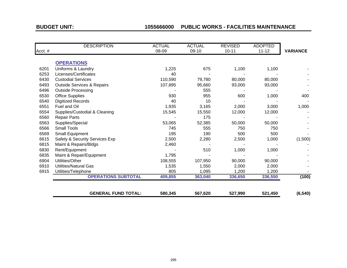#### **1055666000 PUBLIC WORKS - FACILITIES MAINTENANCE**

|        | <b>DESCRIPTION</b>                    | <b>ACTUAL</b> | <b>ACTUAL</b> | <b>REVISED</b> | <b>ADOPTED</b> |                 |
|--------|---------------------------------------|---------------|---------------|----------------|----------------|-----------------|
| Acct.# |                                       | 08-09         | 09-10         | $10 - 11$      | $11 - 12$      | <b>VARIANCE</b> |
|        |                                       |               |               |                |                |                 |
|        | <b>OPERATIONS</b>                     |               |               |                |                |                 |
| 6201   | Uniforms & Laundry                    | 1,225         | 675           | 1,100          | 1,100          |                 |
| 6253   | Licenses/Certificates                 | 40            |               |                |                |                 |
| 6430   | <b>Custodial Services</b>             | 110,590       | 79,780        | 80,000         | 80,000         |                 |
| 6493   | <b>Outside Services &amp; Repairs</b> | 107,895       | 95,660        | 93,000         | 93,000         |                 |
| 6496   | <b>Outside Processing</b>             |               | 555           |                |                |                 |
| 6530   | <b>Office Supplies</b>                | 930           | 955           | 600            | 1,000          | 400             |
| 6540   | <b>Digitized Records</b>              | 40            | 10            |                |                |                 |
| 6551   | Fuel and Oil                          | 1,935         | 3,165         | 2,000          | 3,000          | 1,000           |
| 6554   | Supplies/Custodial & Cleaning         | 15,545        | 15,550        | 12,000         | 12,000         |                 |
| 6560   | <b>Repair Parts</b>                   |               | 175           |                |                |                 |
| 6563   | Supplies/Special                      | 53,065        | 52,385        | 50,000         | 50,000         |                 |
| 6566   | <b>Small Tools</b>                    | 745           | 555           | 750            | 750            |                 |
| 6569   | Small Equipment                       | 195           | 190           | 500            | 500            |                 |
| 6615   | Safety & Security Services Exp        | 2,500         | 2,280         | 2,500          | 1,000          | (1,500)         |
| 6815   | Maint & Repairs/Bldgs                 | 2,460         |               |                |                |                 |
| 6830   | Rent/Equipment                        |               | 510           | 1,000          | 1,000          |                 |
| 6835   | Maint & Repair/Equipment              | 1,795         |               |                |                |                 |
| 6904   | Utilities/Other                       | 108,555       | 107,950       | 90,000         | 90,000         |                 |
| 6910   | <b>Utilities/Natural Gas</b>          | 1,535         | 1,550         | 2,000          | 2,000          |                 |
| 6915   | Utilities/Telephone                   | 805           | 1,095         | 1,200          | 1,200          |                 |
|        | <b>OPERATIONS SUBTOTAL</b>            | 409,855       | 363,040       | 336,650        | 336,550        | (100)           |
|        |                                       |               |               |                |                |                 |
|        | <b>GENERAL FUND TOTAL:</b>            | 580,345       | 567,620       | 527,990        | 521,450        | (6, 540)        |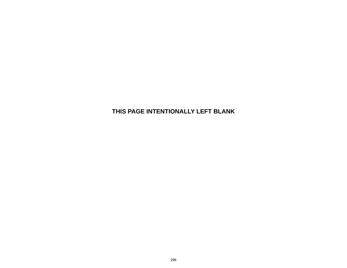### **THIS PAGE INTENTIONALLY LEFT BLANK**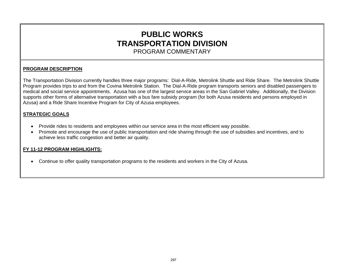## **PUBLIC WORKS TRANSPORTATION DIVISION**  PROGRAM COMMENTARY

#### **PROGRAM DESCRIPTION**

The Transportation Division currently handles three major programs: Dial-A-Ride, Metrolink Shuttle and Ride Share. The Metrolink Shuttle Program provides trips to and from the Covina Metrolink Station. The Dial-A-Ride program transports seniors and disabled passengers to medical and social service appointments. Azusa has one of the largest service areas in the San Gabriel Valley. Additionally, the Division supports other forms of alternative transportation with a bus fare subsidy program (for both Azusa residents and persons employed in Azusa) and a Ride Share Incentive Program for City of Azusa employees.

#### **STRATEGIC GOALS**

- Provide rides to residents and employees within our service area in the most efficient way possible.
- Promote and encourage the use of public transportation and ride sharing through the use of subsidies and incentives, and to achieve less traffic congestion and better air quality.

#### **FY 11-12 PROGRAM HIGHLIGHTS:**

• Continue to offer quality transportation programs to the residents and workers in the City of Azusa.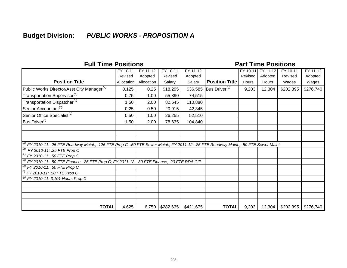## **Full Time Positions**

### **Part Time Positions**

|                                                                                                                                                                          | FY 10-11   | FY 11-12   | FY 10-11  | FY 11-12  |                           | FY 10-11 | FY 11-12 | FY 10-11  | FY 11-12  |
|--------------------------------------------------------------------------------------------------------------------------------------------------------------------------|------------|------------|-----------|-----------|---------------------------|----------|----------|-----------|-----------|
|                                                                                                                                                                          | Revised    | Adopted    | Revised   | Adopted   |                           | Revised  | Adopted  | Revised   | Adopted   |
| <b>Position Title</b>                                                                                                                                                    | Allocation | Allocation | Salary    | Salary    | <b>Position Title</b>     | Hours    | Hours    | Wages     | Wages     |
| Public Works Director/Asst City Manager <sup>(a)</sup>                                                                                                                   | 0.125      | 0.25       | \$18,295  | \$36,585  | Bus Driver <sup>(g)</sup> | 9,203    | 12,304   | \$202,395 | \$276,740 |
| Transportation Supervisor <sup>(b)</sup>                                                                                                                                 | 0.75       | 1.00       | 55,890    | 74,515    |                           |          |          |           |           |
| Transportation Dispatcher <sup>(c)</sup>                                                                                                                                 | 1.50       | 2.00       | 82,645    | 110,880   |                           |          |          |           |           |
| Senior Accountant <sup>(d)</sup>                                                                                                                                         | 0.25       | 0.50       | 20,915    | 42,345    |                           |          |          |           |           |
| Senior Office Specialist <sup>(e)</sup>                                                                                                                                  | 0.50       | 1.00       | 26,255    | 52,510    |                           |          |          |           |           |
| Bus Driver <sup>(f)</sup>                                                                                                                                                | 1.50       | 2.00       | 78,635    | 104,840   |                           |          |          |           |           |
|                                                                                                                                                                          |            |            |           |           |                           |          |          |           |           |
|                                                                                                                                                                          |            |            |           |           |                           |          |          |           |           |
| (a)                                                                                                                                                                      |            |            |           |           |                           |          |          |           |           |
| FY 2010-11: .25 FTE Roadway Maint., .125 FTE Prop C, .50 FTE Sewer Maint.; FY 2011-12: .25 FTE Roadway Maint., .50 FTE Sewer Maint.<br>(b)<br>FY 2010-11: .25 FTE Prop C |            |            |           |           |                           |          |          |           |           |
| (C)<br>FY 2010-11: .50 FTE Prop C                                                                                                                                        |            |            |           |           |                           |          |          |           |           |
| <sup>(d)</sup> FY 2010-11: .50 FTE Finance, .25 FTE Prop C; FY 2011-12: .30 FTE Finance, .20 FTE RDA CIP                                                                 |            |            |           |           |                           |          |          |           |           |
| $^{(e)}$ FY 2010-11: .50 FTE Prop C                                                                                                                                      |            |            |           |           |                           |          |          |           |           |
| $^{(\dagger)}$ FY 2010-11: .50 FTE Prop C                                                                                                                                |            |            |           |           |                           |          |          |           |           |
| $^{(9)}$ FY 2010-11: 3,101 Hours Prop C                                                                                                                                  |            |            |           |           |                           |          |          |           |           |
|                                                                                                                                                                          |            |            |           |           |                           |          |          |           |           |
|                                                                                                                                                                          |            |            |           |           |                           |          |          |           |           |
|                                                                                                                                                                          |            |            |           |           |                           |          |          |           |           |
|                                                                                                                                                                          |            |            |           |           |                           |          |          |           |           |
| <b>TOTAL</b>                                                                                                                                                             | 4.625      | 6.750      | \$282,635 | \$421,675 | <b>TOTAL</b>              | 9,203    | 12,304   | \$202,395 | \$276,740 |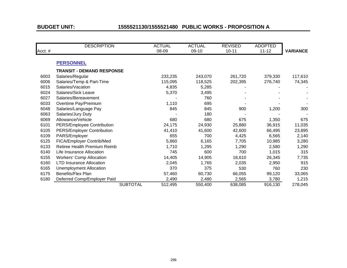#### **1555521130/1555521480 PUBLIC WORKS - PROPOSITION A**

|         | <b>DESCRIPTION</b>               |                 | <b>ACTUAL</b> | <b>ACTUAL</b> | <b>REVISED</b> | <b>ADOPTED</b> |                 |
|---------|----------------------------------|-----------------|---------------|---------------|----------------|----------------|-----------------|
| Acct. # |                                  |                 | 08-09         | 09-10         | $10 - 11$      | $11 - 12$      | <b>VARIANCE</b> |
|         |                                  |                 |               |               |                |                |                 |
|         | <b>PERSONNEL</b>                 |                 |               |               |                |                |                 |
|         | <b>TRANSIT - DEMAND RESPONSE</b> |                 |               |               |                |                |                 |
| 6003    | Salaries/Regular                 |                 | 233,235       | 243,070       | 261,720        | 379,330        | 117,610         |
| 6006    | Salaries/Temp & Part-Time        |                 | 115,095       | 118,525       | 202,395        | 276,740        | 74,345          |
| 6015    | Salaries/Vacation                |                 | 4,835         | 5,285         |                |                |                 |
| 6024    | Salaries/Sick Leave              |                 | 5,370         | 3,495         |                |                |                 |
| 6027    | Salaries/Bereavement             |                 |               | 760           |                |                |                 |
| 6033    | Overtime Pay/Premium             |                 | 1,110         | 695           |                |                |                 |
| 6048    | Salaries/Language Pay            |                 | 845           | 845           | 900            | 1,200          | 300             |
| 6063    | Salaries/Jury Duty               |                 |               | 180           |                |                |                 |
| 6069    | Allowance/Vehicle                |                 | 680           | 680           | 675            | 1,350          | 675             |
| 6101    | PERS/Employee Contribution       |                 | 24,175        | 24,930        | 25,880         | 36,915         | 11,035          |
| 6105    | PERS/Employer Contribution       |                 | 41,410        | 41,600        | 42,600         | 66,495         | 23,895          |
| 6109    | PARS/Employer                    |                 | 655           | 700           | 4,425          | 6,565          | 2,140           |
| 6125    | FICA/Employer Contrib/Med        |                 | 5,860         | 6,165         | 7,705          | 10,985         | 3,280           |
| 6133    | Retiree Health Premium Reimb     |                 | 1,710         | 1,295         | 1,290          | 2,580          | 1,290           |
| 6140    | Life Insurance Allocation        |                 | 745           | 600           | 700            | 1,015          | 315             |
| 6155    | <b>Workers' Comp Allocation</b>  |                 | 14,405        | 14,905        | 18,610         | 26,345         | 7,735           |
| 6160    | <b>LTD Insurance Allocation</b>  |                 | 2,045         | 1,765         | 2,035          | 2,950          | 915             |
| 6165    | <b>Unemployment Allocation</b>   |                 | 370           | 375           | 530            | 760            | 230             |
| 6175    | <b>Benefits/Flex Plan</b>        |                 | 57,460        | 60,730        | 66,055         | 99,120         | 33,065          |
| 6180    | Deferred Comp/Employer Paid      |                 | 2,490         | 2,480         | 2,565          | 3,780          | 1,215           |
|         |                                  | <b>SUBTOTAL</b> | 512,495       | 550,400       | 638,085        | 916,130        | 278,045         |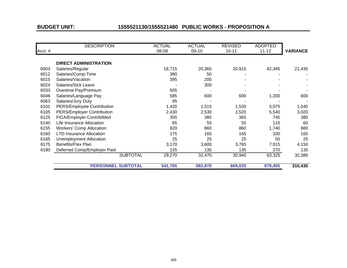#### **1555521130/1555521480 PUBLIC WORKS - PROPOSITION A**

|         | <b>DESCRIPTION</b>                | <b>ACTUAL</b> | <b>ACTUAL</b> | <b>REVISED</b> | <b>ADOPTED</b> |                 |
|---------|-----------------------------------|---------------|---------------|----------------|----------------|-----------------|
| Acct. # |                                   | 08-09         | 09-10         | $10 - 11$      | $11 - 12$      | <b>VARIANCE</b> |
|         | <b>DIRECT ADMINISTRATION</b>      |               |               |                |                |                 |
| 6003    | Salaries/Regular                  | 18,715        | 20,365        | 20,915         | 42,345         | 21,430          |
| 6012    | Salaries/Comp-Time                | 390           | 50            |                |                |                 |
| 6015    | Salaries/Vacation                 | 395           | 205           |                |                |                 |
| 6024    | Salaries/Sick Leave               |               | 300           |                |                |                 |
| 6033    | Overtime Pay/Premium              | 505           |               |                |                |                 |
| 6048    | Salaries/Language Pay             | 585           | 600           | 600            | 1,200          | 600             |
| 6063    | Salaries/Jury Duty                | 95            |               |                |                |                 |
| 6101    | PERS/Employee Contribution        | 1,420         | 1,515         | 1,535          | 3,075          | 1,540           |
| 6105    | <b>PERS/Employer Contribution</b> | 2,430         | 2,530         | 2,520          | 5,540          | 3,020           |
| 6125    | FICA/Employer Contrib/Med         | 355           | 385           | 365            | 745            | 380             |
| 6140    | Life Insurance Allocation         | 65            | 55            | 55             | 115            | 60              |
| 6155    | <b>Workers' Comp Allocation</b>   | 820           | 860           | 860            | 1,740          | 880             |
| 6160    | <b>LTD Insurance Allocation</b>   | 175           | 165           | 165            | 330            | 165             |
| 6165    | <b>Unemployment Allocation</b>    | 25            | 25            | 25             | 50             | 25              |
| 6175    | <b>Benefits/Flex Plan</b>         | 3,170         | 3,600         | 3,765          | 7,915          | 4,150           |
| 6180    | Deferred Comp/Employer Paid       | 125           | 135           | 135            | 270            | 135             |
|         | <b>SUBTOTAL</b>                   | 29,270        | 32,470        | 30,940         | 63,325         | 32,385          |
|         | <b>PERSONNEL SUBTOTAL</b>         | 541,765       | 582,870       | 669,025        | 979,455        | 310,430         |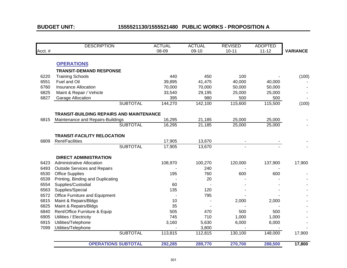#### **1555521130/1555521480 PUBLIC WORKS - PROPOSITION A**

| <b>OPERATIONS</b><br><b>TRANSIT-DEMAND RESPONSE</b><br>6220<br><b>Training Schools</b><br>440<br>450<br>100<br>(100)<br>Fuel and Oil<br>6551<br>39,895<br>41,475<br>40,000<br>40,000<br>6760<br>70,000<br><b>Insurance Allocation</b><br>70,000<br>50,000<br>50,000<br>6825<br>Maint & Repair / Vehicle<br>33,540<br>29,195<br>25,000<br>25,000<br>6827<br>Garage Allocation<br>395<br>980<br>500<br>500<br><b>SUBTOTAL</b><br>115,500<br>144,270<br>142,100<br>115,600<br>(100)<br><b>TRANSIT-BUILDING REPAIRS AND MAINTENANCE</b><br>6815<br>16,295<br>21,185<br>25,000<br>25,000<br>Maintenance and Repairs-Buildings<br><b>SUBTOTAL</b><br>16,295<br>21,185<br>25,000<br>25,000<br><b>TRANSIT-FACILITY RELOCATION</b><br>6809<br>Rent/Facilities<br>17,905<br>13,670<br><b>SUBTOTAL</b><br>13,670<br>17,905<br><b>DIRECT ADMINISTRATION</b><br>6423<br><b>Administrative Allocation</b><br>108,970<br>100,270<br>120,000<br>137,900<br>17,900<br>6493<br><b>Outside Services and Repairs</b><br>240<br>6530<br><b>Office Supplies</b><br>195<br>760<br>600<br>600<br>6539<br>Printing, Binding and Duplicating<br>20<br>6554<br>Supplies/Custodial<br>60<br>6563<br>Supplies/Special<br>135<br>120<br>6572<br>Office Furniture and Equipment<br>795<br>6815<br>Maint & Repairs/Bldgs<br>10<br>2,000<br>2,000<br>6825<br>Maint & Repairs/Bldgs<br>35<br>Rent/Office Furniture & Equip<br>6840<br>505<br>470<br>500<br>500<br>Utilities / Electricity<br>745<br>6905<br>710<br>1,000<br>1,000<br>6,000<br>6915<br>Utilities/Telephone<br>3,160<br>5,630<br>6,000<br>7099<br>Utilities/Telephone<br>3,800<br><b>SUBTOTAL</b><br>113,815<br>130,100<br>148,000<br>112,815<br><b>OPERATIONS SUBTOTAL</b><br>292,285<br>289,770<br>270,700<br>288,500 |        | <b>DESCRIPTION</b> | <b>ACTUAL</b> | <b>ACTUAL</b> | <b>REVISED</b> | <b>ADOPTED</b> |                 |
|-----------------------------------------------------------------------------------------------------------------------------------------------------------------------------------------------------------------------------------------------------------------------------------------------------------------------------------------------------------------------------------------------------------------------------------------------------------------------------------------------------------------------------------------------------------------------------------------------------------------------------------------------------------------------------------------------------------------------------------------------------------------------------------------------------------------------------------------------------------------------------------------------------------------------------------------------------------------------------------------------------------------------------------------------------------------------------------------------------------------------------------------------------------------------------------------------------------------------------------------------------------------------------------------------------------------------------------------------------------------------------------------------------------------------------------------------------------------------------------------------------------------------------------------------------------------------------------------------------------------------------------------------------------------------------------------------------------------------------------------------------|--------|--------------------|---------------|---------------|----------------|----------------|-----------------|
|                                                                                                                                                                                                                                                                                                                                                                                                                                                                                                                                                                                                                                                                                                                                                                                                                                                                                                                                                                                                                                                                                                                                                                                                                                                                                                                                                                                                                                                                                                                                                                                                                                                                                                                                                     | Acct.# |                    | 08-09         | 09-10         | $10 - 11$      | $11 - 12$      | <b>VARIANCE</b> |
|                                                                                                                                                                                                                                                                                                                                                                                                                                                                                                                                                                                                                                                                                                                                                                                                                                                                                                                                                                                                                                                                                                                                                                                                                                                                                                                                                                                                                                                                                                                                                                                                                                                                                                                                                     |        |                    |               |               |                |                |                 |
|                                                                                                                                                                                                                                                                                                                                                                                                                                                                                                                                                                                                                                                                                                                                                                                                                                                                                                                                                                                                                                                                                                                                                                                                                                                                                                                                                                                                                                                                                                                                                                                                                                                                                                                                                     |        |                    |               |               |                |                |                 |
|                                                                                                                                                                                                                                                                                                                                                                                                                                                                                                                                                                                                                                                                                                                                                                                                                                                                                                                                                                                                                                                                                                                                                                                                                                                                                                                                                                                                                                                                                                                                                                                                                                                                                                                                                     |        |                    |               |               |                |                |                 |
|                                                                                                                                                                                                                                                                                                                                                                                                                                                                                                                                                                                                                                                                                                                                                                                                                                                                                                                                                                                                                                                                                                                                                                                                                                                                                                                                                                                                                                                                                                                                                                                                                                                                                                                                                     |        |                    |               |               |                |                |                 |
|                                                                                                                                                                                                                                                                                                                                                                                                                                                                                                                                                                                                                                                                                                                                                                                                                                                                                                                                                                                                                                                                                                                                                                                                                                                                                                                                                                                                                                                                                                                                                                                                                                                                                                                                                     |        |                    |               |               |                |                |                 |
|                                                                                                                                                                                                                                                                                                                                                                                                                                                                                                                                                                                                                                                                                                                                                                                                                                                                                                                                                                                                                                                                                                                                                                                                                                                                                                                                                                                                                                                                                                                                                                                                                                                                                                                                                     |        |                    |               |               |                |                |                 |
|                                                                                                                                                                                                                                                                                                                                                                                                                                                                                                                                                                                                                                                                                                                                                                                                                                                                                                                                                                                                                                                                                                                                                                                                                                                                                                                                                                                                                                                                                                                                                                                                                                                                                                                                                     |        |                    |               |               |                |                |                 |
|                                                                                                                                                                                                                                                                                                                                                                                                                                                                                                                                                                                                                                                                                                                                                                                                                                                                                                                                                                                                                                                                                                                                                                                                                                                                                                                                                                                                                                                                                                                                                                                                                                                                                                                                                     |        |                    |               |               |                |                |                 |
|                                                                                                                                                                                                                                                                                                                                                                                                                                                                                                                                                                                                                                                                                                                                                                                                                                                                                                                                                                                                                                                                                                                                                                                                                                                                                                                                                                                                                                                                                                                                                                                                                                                                                                                                                     |        |                    |               |               |                |                |                 |
|                                                                                                                                                                                                                                                                                                                                                                                                                                                                                                                                                                                                                                                                                                                                                                                                                                                                                                                                                                                                                                                                                                                                                                                                                                                                                                                                                                                                                                                                                                                                                                                                                                                                                                                                                     |        |                    |               |               |                |                |                 |
|                                                                                                                                                                                                                                                                                                                                                                                                                                                                                                                                                                                                                                                                                                                                                                                                                                                                                                                                                                                                                                                                                                                                                                                                                                                                                                                                                                                                                                                                                                                                                                                                                                                                                                                                                     |        |                    |               |               |                |                |                 |
|                                                                                                                                                                                                                                                                                                                                                                                                                                                                                                                                                                                                                                                                                                                                                                                                                                                                                                                                                                                                                                                                                                                                                                                                                                                                                                                                                                                                                                                                                                                                                                                                                                                                                                                                                     |        |                    |               |               |                |                |                 |
|                                                                                                                                                                                                                                                                                                                                                                                                                                                                                                                                                                                                                                                                                                                                                                                                                                                                                                                                                                                                                                                                                                                                                                                                                                                                                                                                                                                                                                                                                                                                                                                                                                                                                                                                                     |        |                    |               |               |                |                |                 |
|                                                                                                                                                                                                                                                                                                                                                                                                                                                                                                                                                                                                                                                                                                                                                                                                                                                                                                                                                                                                                                                                                                                                                                                                                                                                                                                                                                                                                                                                                                                                                                                                                                                                                                                                                     |        |                    |               |               |                |                |                 |
|                                                                                                                                                                                                                                                                                                                                                                                                                                                                                                                                                                                                                                                                                                                                                                                                                                                                                                                                                                                                                                                                                                                                                                                                                                                                                                                                                                                                                                                                                                                                                                                                                                                                                                                                                     |        |                    |               |               |                |                |                 |
|                                                                                                                                                                                                                                                                                                                                                                                                                                                                                                                                                                                                                                                                                                                                                                                                                                                                                                                                                                                                                                                                                                                                                                                                                                                                                                                                                                                                                                                                                                                                                                                                                                                                                                                                                     |        |                    |               |               |                |                |                 |
|                                                                                                                                                                                                                                                                                                                                                                                                                                                                                                                                                                                                                                                                                                                                                                                                                                                                                                                                                                                                                                                                                                                                                                                                                                                                                                                                                                                                                                                                                                                                                                                                                                                                                                                                                     |        |                    |               |               |                |                |                 |
|                                                                                                                                                                                                                                                                                                                                                                                                                                                                                                                                                                                                                                                                                                                                                                                                                                                                                                                                                                                                                                                                                                                                                                                                                                                                                                                                                                                                                                                                                                                                                                                                                                                                                                                                                     |        |                    |               |               |                |                |                 |
|                                                                                                                                                                                                                                                                                                                                                                                                                                                                                                                                                                                                                                                                                                                                                                                                                                                                                                                                                                                                                                                                                                                                                                                                                                                                                                                                                                                                                                                                                                                                                                                                                                                                                                                                                     |        |                    |               |               |                |                |                 |
|                                                                                                                                                                                                                                                                                                                                                                                                                                                                                                                                                                                                                                                                                                                                                                                                                                                                                                                                                                                                                                                                                                                                                                                                                                                                                                                                                                                                                                                                                                                                                                                                                                                                                                                                                     |        |                    |               |               |                |                |                 |
|                                                                                                                                                                                                                                                                                                                                                                                                                                                                                                                                                                                                                                                                                                                                                                                                                                                                                                                                                                                                                                                                                                                                                                                                                                                                                                                                                                                                                                                                                                                                                                                                                                                                                                                                                     |        |                    |               |               |                |                |                 |
|                                                                                                                                                                                                                                                                                                                                                                                                                                                                                                                                                                                                                                                                                                                                                                                                                                                                                                                                                                                                                                                                                                                                                                                                                                                                                                                                                                                                                                                                                                                                                                                                                                                                                                                                                     |        |                    |               |               |                |                |                 |
|                                                                                                                                                                                                                                                                                                                                                                                                                                                                                                                                                                                                                                                                                                                                                                                                                                                                                                                                                                                                                                                                                                                                                                                                                                                                                                                                                                                                                                                                                                                                                                                                                                                                                                                                                     |        |                    |               |               |                |                |                 |
|                                                                                                                                                                                                                                                                                                                                                                                                                                                                                                                                                                                                                                                                                                                                                                                                                                                                                                                                                                                                                                                                                                                                                                                                                                                                                                                                                                                                                                                                                                                                                                                                                                                                                                                                                     |        |                    |               |               |                |                |                 |
|                                                                                                                                                                                                                                                                                                                                                                                                                                                                                                                                                                                                                                                                                                                                                                                                                                                                                                                                                                                                                                                                                                                                                                                                                                                                                                                                                                                                                                                                                                                                                                                                                                                                                                                                                     |        |                    |               |               |                |                |                 |
|                                                                                                                                                                                                                                                                                                                                                                                                                                                                                                                                                                                                                                                                                                                                                                                                                                                                                                                                                                                                                                                                                                                                                                                                                                                                                                                                                                                                                                                                                                                                                                                                                                                                                                                                                     |        |                    |               |               |                |                |                 |
|                                                                                                                                                                                                                                                                                                                                                                                                                                                                                                                                                                                                                                                                                                                                                                                                                                                                                                                                                                                                                                                                                                                                                                                                                                                                                                                                                                                                                                                                                                                                                                                                                                                                                                                                                     |        |                    |               |               |                |                |                 |
|                                                                                                                                                                                                                                                                                                                                                                                                                                                                                                                                                                                                                                                                                                                                                                                                                                                                                                                                                                                                                                                                                                                                                                                                                                                                                                                                                                                                                                                                                                                                                                                                                                                                                                                                                     |        |                    |               |               |                |                |                 |
|                                                                                                                                                                                                                                                                                                                                                                                                                                                                                                                                                                                                                                                                                                                                                                                                                                                                                                                                                                                                                                                                                                                                                                                                                                                                                                                                                                                                                                                                                                                                                                                                                                                                                                                                                     |        |                    |               |               |                |                |                 |
|                                                                                                                                                                                                                                                                                                                                                                                                                                                                                                                                                                                                                                                                                                                                                                                                                                                                                                                                                                                                                                                                                                                                                                                                                                                                                                                                                                                                                                                                                                                                                                                                                                                                                                                                                     |        |                    |               |               |                |                |                 |
|                                                                                                                                                                                                                                                                                                                                                                                                                                                                                                                                                                                                                                                                                                                                                                                                                                                                                                                                                                                                                                                                                                                                                                                                                                                                                                                                                                                                                                                                                                                                                                                                                                                                                                                                                     |        |                    |               |               |                |                | 17,900          |
|                                                                                                                                                                                                                                                                                                                                                                                                                                                                                                                                                                                                                                                                                                                                                                                                                                                                                                                                                                                                                                                                                                                                                                                                                                                                                                                                                                                                                                                                                                                                                                                                                                                                                                                                                     |        |                    |               |               |                |                | 17,800          |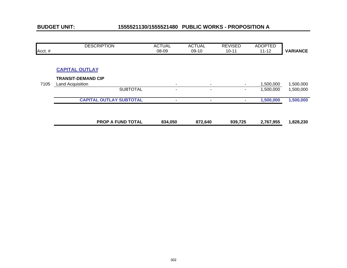|        | <b>DESCRIPTION</b>             | <b>ACTUAL</b> | <b>ACTUAL</b> | <b>REVISED</b>           | <b>ADOPTED</b> |                 |
|--------|--------------------------------|---------------|---------------|--------------------------|----------------|-----------------|
| Acct.# |                                | 08-09         | 09-10         | $10 - 11$                | $11 - 12$      | <b>VARIANCE</b> |
|        |                                |               |               |                          |                |                 |
|        | <b>CAPITAL OUTLAY</b>          |               |               |                          |                |                 |
|        | <b>TRANSIT-DEMAND CIP</b>      |               |               |                          |                |                 |
| 7105   | Land Acquisition               | $\sim$        | ۰             | ۰                        | 1,500,000      | 1,500,000       |
|        | <b>SUBTOTAL</b>                | $\sim$        |               | $\overline{\phantom{0}}$ | 1,500,000      | 1,500,000       |
|        | <b>CAPITAL OUTLAY SUBTOTAL</b> | $\sim$        |               | $\sim$                   | 1,500,000      | 1,500,000       |
|        |                                |               |               |                          |                |                 |
|        |                                |               |               |                          |                |                 |
|        | PROP A FUND TOTAL              | 834,050       | 872,640       | 939,725                  | 2,767,955      | 1,828,230       |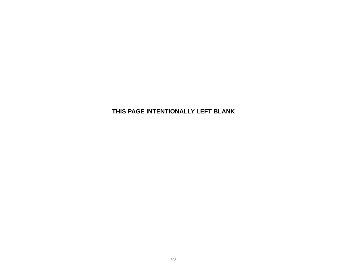### **THIS PAGE INTENTIONALLY LEFT BLANK**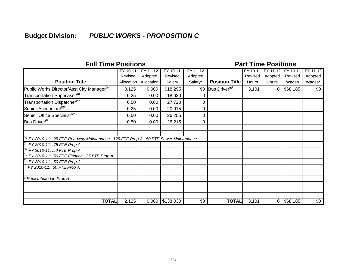## **Full Time Positions**

### **Part Time Positions**

|                                                                                                    | FY 10-11   | FY 11-12   | FY 10-11  | FY 11-12 |                           | FY 10-11 | FY 11-12 | FY 10-11 | FY 11-12 |
|----------------------------------------------------------------------------------------------------|------------|------------|-----------|----------|---------------------------|----------|----------|----------|----------|
|                                                                                                    | Revised    | Adopted    | Revised   | Adopted  |                           | Revised  | Adopted  | Revised  | Adopted  |
| <b>Position Title</b>                                                                              | Allocation | Allocation | Salary    | Salary*  | <b>Position Title</b>     | Hours    | Hours    | Wages    | Wages*   |
| Public Works Director/Asst City Manager <sup>(a)</sup>                                             | 0.125      | 0.000      | \$18,295  | \$0      | Bus Driver <sup>(g)</sup> | 3,101    | $\Omega$ | \$68,185 | \$0      |
| Transportation Supervisor <sup>(b)</sup>                                                           | 0.25       | 0.00       | 18,630    |          |                           |          |          |          |          |
| Transportation Dispatcher <sup>(c)</sup>                                                           | 0.50       | 0.00       | 27,720    |          |                           |          |          |          |          |
| Senior Accountant <sup>(d)</sup>                                                                   | 0.25       | 0.00       | 20,915    |          |                           |          |          |          |          |
| Senior Office Specialist <sup>(e)</sup>                                                            | 0.50       | 0.00       | 26,255    |          |                           |          |          |          |          |
| Bus Driver <sup>(f)</sup>                                                                          | 0.50       | 0.00       | 26,215    | 0        |                           |          |          |          |          |
|                                                                                                    |            |            |           |          |                           |          |          |          |          |
|                                                                                                    |            |            |           |          |                           |          |          |          |          |
| <sup>[a)</sup> FY 2010-11: .25 FTE Roadway Maintenance, .125 FTE Prop A, .50 FTE Sewer Maintenance |            |            |           |          |                           |          |          |          |          |
| <sup>(b)</sup> FY 2010-11: .75 FT <u>E Prop A</u>                                                  |            |            |           |          |                           |          |          |          |          |
| $\overline{^{(c)}}$ FY 2010-11: .50 FTE Prop A                                                     |            |            |           |          |                           |          |          |          |          |
| FY 2010-11: .50 FTE Finance, .25 FTE Prop A                                                        |            |            |           |          |                           |          |          |          |          |
| $\overline{^{(e)}}$ FY 2010-11: .50 FTE Prop A                                                     |            |            |           |          |                           |          |          |          |          |
| FY 2010-11: .50 FTE Prop A                                                                         |            |            |           |          |                           |          |          |          |          |
|                                                                                                    |            |            |           |          |                           |          |          |          |          |
| Redistributed to Prop A                                                                            |            |            |           |          |                           |          |          |          |          |
|                                                                                                    |            |            |           |          |                           |          |          |          |          |
|                                                                                                    |            |            |           |          |                           |          |          |          |          |
| <b>TOTAL</b>                                                                                       | 2.125      | 0.000      | \$138,030 | \$0      | <b>TOTAL</b>              | 3,101    | 0        | \$68,185 | \$0      |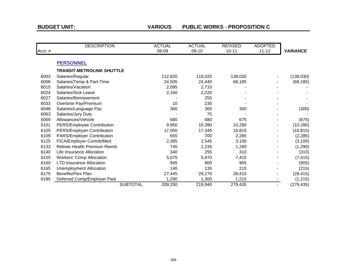|         | <b>DESCRIPTION</b>                |                 | <b>ACTUAL</b> | <b>ACTUAL</b> | <b>REVISED</b> | <b>ADOPTED</b> |                 |
|---------|-----------------------------------|-----------------|---------------|---------------|----------------|----------------|-----------------|
| Acct. # |                                   |                 | 08-09         | 09-10         | $10 - 11$      | $11 - 12$      | <b>VARIANCE</b> |
|         |                                   |                 |               |               |                |                |                 |
|         | <b>PERSONNEL</b>                  |                 |               |               |                |                |                 |
|         | <b>TRANSIT-METROLINK SHUTTLE</b>  |                 |               |               |                |                |                 |
| 6003    | Salaries/Regular                  |                 | 112,820       | 119,020       | 138,030        |                | (138,030)       |
| 6006    | Salaries/Temp & Part-Time         |                 | 24,505        | 24,440        | 68,185         |                | (68, 185)       |
| 6015    | Salaries/Vacation                 |                 | 2,095         | 2,710         |                |                |                 |
| 6024    | Salaries/Sick Leave               |                 | 2,160         | 2,220         |                |                |                 |
| 6027    | Salaries/Bereavement              |                 |               | 255           |                |                |                 |
| 6033    | Overtime Pay/Premium              |                 | 10            | 230           |                |                |                 |
| 6048    | Salaries/Language Pay             |                 | 360           | 365           | 300            |                | (300)           |
| 6063    | Salaries/Jury Duty                |                 |               | 75            |                |                |                 |
| 6069    | Allowances/Vehicle                |                 | 680           | 680           | 675            |                | (675)           |
| 6101    | PERS/Employee Contribution        |                 | 9,950         | 10,390        | 10,280         |                | (10, 280)       |
| 6105    | <b>PERS/Employer Contribution</b> |                 | 17,050        | 17,345        | 16,815         |                | (16, 815)       |
| 6109    | PARS/Employer Contribution        |                 | 655           | 700           | 2,285          |                | (2, 285)        |
| 6125    | FICA/Employer Contrib/Med         |                 | 2,385         | 2,545         | 3,100          |                | (3, 100)        |
| 6133    | Retiree Health Premium Reimb      |                 | 745           | 1,235         | 1,290          |                | (1, 290)        |
| 6140    | Life Insurance Allocation         |                 | 340           | 255           | 310            |                | (310)           |
| 6155    | <b>Workers' Comp Allocation</b>   |                 | 5,675         | 5,970         | 7,415          |                | (7, 415)        |
| 6160    | <b>LTD Insurance Allocation</b>   |                 | 945           | 800           | 905            |                | (905)           |
| 6165    | <b>Unemployment Allocation</b>    |                 | 140           | 135           | 215            |                | (215)           |
| 6175    | Benefits/Flex Plan                |                 | 27,445        | 29,270        | 28,415         |                | (28, 415)       |
| 6180    | Deferred Comp/Employer Paid       |                 | 1,290         | 1,300         | 1,215          |                | (1, 215)        |
|         |                                   | <b>SUBTOTAL</b> | 209,250       | 219,940       | 279,435        | $\blacksquare$ | (279, 435)      |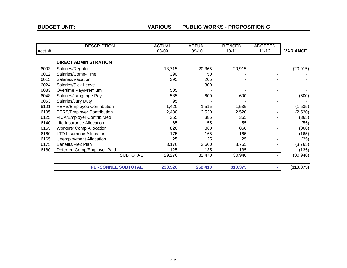|         | <b>DESCRIPTION</b>                | <b>ACTUAL</b> | <b>ACTUAL</b> | <b>REVISED</b> | <b>ADOPTED</b> |                 |
|---------|-----------------------------------|---------------|---------------|----------------|----------------|-----------------|
| Acct. # |                                   | 08-09         | 09-10         | $10 - 11$      | $11 - 12$      | <b>VARIANCE</b> |
|         | <b>DIRECT ADMINISTRATION</b>      |               |               |                |                |                 |
| 6003    | Salaries/Regular                  | 18,715        | 20,365        | 20,915         |                | (20, 915)       |
| 6012    | Salaries/Comp-Time                | 390           | 50            |                |                |                 |
| 6015    | Salaries/Vacation                 | 395           | 205           |                |                |                 |
| 6024    | Salaries/Sick Leave               |               | 300           |                |                |                 |
| 6033    | Overtime Pay/Premium              | 505           |               |                |                |                 |
| 6048    | Salaries/Language Pay             | 585           | 600           | 600            |                | (600)           |
| 6063    | Salaries/Jury Duty                | 95            |               |                |                |                 |
| 6101    | PERS/Employee Contribution        | 1,420         | 1,515         | 1,535          |                | (1,535)         |
| 6105    | <b>PERS/Employer Contribution</b> | 2,430         | 2,530         | 2,520          |                | (2,520)         |
| 6125    | FICA/Employer Contrib/Med         | 355           | 385           | 365            |                | (365)           |
| 6140    | Life Insurance Allocation         | 65            | 55            | 55             |                | (55)            |
| 6155    | <b>Workers' Comp Allocation</b>   | 820           | 860           | 860            |                | (860)           |
| 6160    | <b>LTD Insurance Allocation</b>   | 175           | 165           | 165            |                | (165)           |
| 6165    | <b>Unemployment Allocation</b>    | 25            | 25            | 25             |                | (25)            |
| 6175    | <b>Benefits/Flex Plan</b>         | 3,170         | 3,600         | 3,765          |                | (3,765)         |
| 6180    | Deferred Comp/Employer Paid       | 125           | 135           | 135            |                | (135)           |
|         | <b>SUBTOTAL</b>                   | 29,270        | 32,470        | 30,940         | $\blacksquare$ | (30, 940)       |
|         | <b>PERSONNEL SUBTOTAL</b>         | 238,520       | 252,410       | 310,375        |                | (310, 375)      |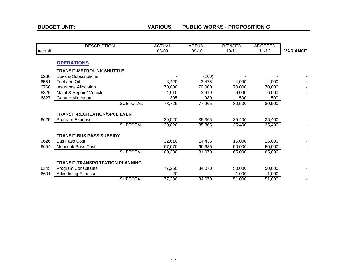|         | <b>DESCRIPTION</b>                     |                 | <b>ACTUAL</b> | <b>ACTUAL</b> | <b>REVISED</b> | <b>ADOPTED</b> |                 |
|---------|----------------------------------------|-----------------|---------------|---------------|----------------|----------------|-----------------|
| Acct. # |                                        |                 | 08-09         | 09-10         | $10 - 11$      | $11 - 12$      | <b>VARIANCE</b> |
|         | <b>OPERATIONS</b>                      |                 |               |               |                |                |                 |
|         | TRANSIT-METROLINK SHUTTLE              |                 |               |               |                |                |                 |
| 6230    | Dues & Subscriptions                   |                 |               | (100)         |                |                |                 |
| 6551    | Fuel and Oil                           |                 | 3,420         | 3,475         | 4,000          | 4,000          |                 |
| 6760    | <b>Insurance Allocation</b>            |                 | 70,000        | 70,000        | 70,000         | 70,000         |                 |
| 6825    | Maint & Repair / Vehicle               |                 | 4,910         | 3,610         | 6,000          | 6,000          |                 |
| 6827    | Garage Allocation                      |                 | 395           | 980           | 500            | 500            |                 |
|         |                                        | <b>SUBTOTAL</b> | 78,725        | 77,965        | 80,500         | 80,500         |                 |
|         | <b>TRANSIT-RECREATION/SPCL EVENT</b>   |                 |               |               |                |                |                 |
| 6625    | Program Expense                        |                 | 30,020        | 35,365        | 35,400         | 35,400         |                 |
|         |                                        | <b>SUBTOTAL</b> | 30,020        | 35,365        | 35,400         | 35,400         |                 |
|         | <b>TRANSIT-BUS PASS SUBSIDY</b>        |                 |               |               |                |                |                 |
| 6626    | <b>Bus Pass Cost</b>                   |                 | 32,610        | 14,435        | 15,000         | 15,000         |                 |
| 6654    | <b>Metrolink Pass Cost</b>             |                 | 67,670        | 66,635        | 50,000         | 50,000         |                 |
|         |                                        | <b>SUBTOTAL</b> | 100,280       | 81,070        | 65,000         | 65,000         |                 |
|         | <b>TRANSIT-TRANSPORTATION PLANNING</b> |                 |               |               |                |                |                 |
| 6345    | <b>Program Consultants</b>             |                 | 77,260        | 34,070        | 50,000         | 50,000         |                 |
| 6601    | <b>Advertising Expense</b>             |                 | 20            |               | 1,000          | 1,000          |                 |
|         |                                        | <b>SUBTOTAL</b> | 77,280        | 34,070        | 51,000         | 51,000         |                 |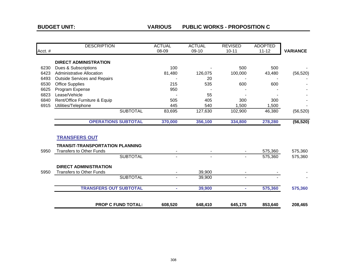| Acct. # | <b>DESCRIPTION</b>                                                        |                 | <b>ACTUAL</b><br>08-09 | <b>ACTUAL</b><br>09-10 | <b>REVISED</b><br>$10 - 11$ | <b>ADOPTED</b><br>$11 - 12$ | <b>VARIANCE</b> |
|---------|---------------------------------------------------------------------------|-----------------|------------------------|------------------------|-----------------------------|-----------------------------|-----------------|
|         | <b>DIRECT ADMINISTRATION</b>                                              |                 |                        |                        |                             |                             |                 |
| 6230    | Dues & Subscriptions                                                      |                 | 100                    |                        | 500                         | 500                         |                 |
| 6423    | <b>Administrative Allocation</b>                                          |                 | 81,480                 | 126,075                | 100,000                     | 43,480                      | (56, 520)       |
| 6493    | <b>Outside Services and Repairs</b>                                       |                 |                        | 20                     |                             |                             |                 |
| 6530    | <b>Office Supplies</b>                                                    |                 | 215                    | 535                    | 600                         | 600                         |                 |
| 6625    | Program Expense                                                           |                 | 950                    |                        |                             |                             |                 |
| 6823    | Lease/Vehicle                                                             |                 |                        | 55                     |                             |                             |                 |
| 6840    | Rent/Office Furniture & Equip                                             |                 | 505                    | 405                    | 300                         | 300                         |                 |
| 6915    | Utilities/Telephone                                                       |                 | 445                    | 540                    | 1,500                       | 1,500                       |                 |
|         |                                                                           | <b>SUBTOTAL</b> | 83,695                 | 127,630                | 102,900                     | 46,380                      | (56, 520)       |
|         | <b>OPERATIONS SUBTOTAL</b>                                                |                 | 370,000                | 356,100                | 334,800                     | 278,280                     | (56, 520)       |
|         | <b>TRANSFERS OUT</b>                                                      |                 |                        |                        |                             |                             |                 |
| 5950    | <b>TRANSIT-TRANSPORTATION PLANNING</b><br><b>Transfers to Other Funds</b> |                 |                        |                        |                             | 575,360                     | 575,360         |
|         |                                                                           | <b>SUBTOTAL</b> |                        |                        |                             | 575,360                     | 575,360         |
|         | <b>DIRECT ADMINISTRATION</b>                                              |                 |                        |                        |                             |                             |                 |
| 5950    | <b>Transfers to Other Funds</b>                                           |                 |                        | 39,900                 |                             |                             |                 |
|         |                                                                           | <b>SUBTOTAL</b> | $\blacksquare$         | 39,900                 | ۰                           |                             |                 |
|         | <b>TRANSFERS OUT SUBTOTAL</b>                                             |                 | ÷.                     | 39,900                 | ÷                           | 575,360                     | 575,360         |
|         | <b>PROP C FUND TOTAL:</b>                                                 |                 | 608,520                | 648,410                | 645,175                     | 853,640                     | 208,465         |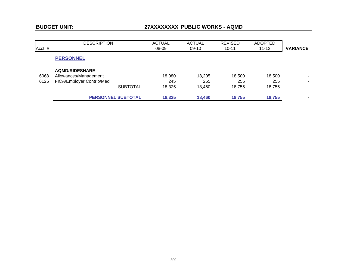#### **27XXXXXXXX PUBLIC WORKS - AQMD**

| Acct. # | <b>DESCRIPTION</b>        | <b>ACTUAL</b><br>08-09 | <b>ACTUAL</b><br>$09-10$ | <b>REVISED</b><br>$10 - 11$ | <b>ADOPTED</b><br>$11 - 12$ | <b>VARIANCE</b> |
|---------|---------------------------|------------------------|--------------------------|-----------------------------|-----------------------------|-----------------|
|         | <b>PERSONNEL</b>          |                        |                          |                             |                             |                 |
|         | <b>AQMD/RIDESHARE</b>     |                        |                          |                             |                             |                 |
| 6068    | Allowances/Management     | 18,080                 | 18,205                   | 18,500                      | 18,500                      |                 |
| 6125    | FICA/Employer Contrib/Med | 245                    | 255                      | 255                         | 255                         |                 |
|         | <b>SUBTOTAL</b>           | 18,325                 | 18,460                   | 18,755                      | 18,755                      | ۰.              |
|         | <b>PERSONNEL SUBTOTAL</b> | 18,325                 | 18,460                   | 18,755                      | 18,755                      | $\blacksquare$  |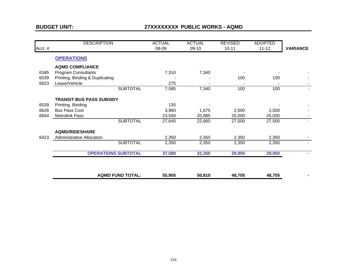#### **27XXXXXXXX PUBLIC WORKS - AQMD**

| Acct. # | <b>DESCRIPTION</b>               |                 | <b>ACTUAL</b><br>08-09 | <b>ACTUAL</b><br>09-10 | <b>REVISED</b><br>$10 - 11$ | <b>ADOPTED</b><br>$11 - 12$ | <b>VARIANCE</b> |
|---------|----------------------------------|-----------------|------------------------|------------------------|-----------------------------|-----------------------------|-----------------|
|         | <b>OPERATIONS</b>                |                 |                        |                        |                             |                             |                 |
|         | <b>AQMD COMPLIANCE</b>           |                 |                        |                        |                             |                             |                 |
| 6345    | <b>Program Consultants</b>       |                 | 7,310                  | 7,340                  |                             |                             |                 |
| 6539    | Printing, Binding & Duplicating  |                 |                        |                        | 100                         | 100                         |                 |
| 6823    | Lease/Vehicle                    |                 | 275                    |                        |                             |                             |                 |
|         |                                  | <b>SUBTOTAL</b> | 7,585                  | 7,340                  | 100                         | 100                         |                 |
|         | <b>TRANSIT-BUS PASS SUBSIDY</b>  |                 |                        |                        |                             |                             |                 |
| 6539    | Printing, Binding                |                 | 135                    |                        |                             |                             |                 |
| 6626    | <b>Bus Pass Cost</b>             |                 | 3,960                  | 1,675                  | 2,500                       | 2,500                       |                 |
| 6654    | <b>Metrolink Pass</b>            |                 | 23,550                 | 20,985                 | 25,000                      | 25,000                      |                 |
|         |                                  | <b>SUBTOTAL</b> | 27,645                 | 22,660                 | 27,500                      | 27,500                      |                 |
|         | <b>AQMD/RIDESHARE</b>            |                 |                        |                        |                             |                             |                 |
| 6423    | <b>Administrative Allocation</b> |                 | 2,350                  | 2,350                  | 2,350                       | 2,350                       |                 |
|         |                                  | <b>SUBTOTAL</b> | 2,350                  | 2,350                  | 2,350                       | 2,350                       |                 |
|         | <b>OPERATIONS SUBTOTAL</b>       |                 | 37,580                 | 32,350                 | 29,950                      | 29,950                      |                 |
|         |                                  |                 |                        |                        |                             |                             |                 |
|         | <b>AQMD FUND TOTAL:</b>          |                 | 55,905                 | 50,810                 | 48,705                      | 48,705                      |                 |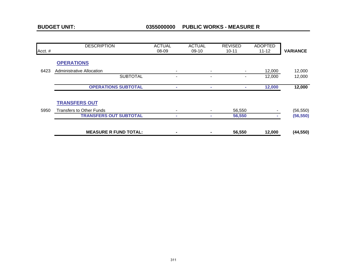#### **0355000000 PUBLIC WORKS - MEASURE R**

| Acct. # | <b>DESCRIPTION</b>              | <b>ACTUAL</b><br>08-09   | <b>ACTUAL</b><br>09-10   | <b>REVISED</b><br>$10 - 11$ | <b>ADOPTED</b><br>$11 - 12$ | <b>VARIANCE</b> |
|---------|---------------------------------|--------------------------|--------------------------|-----------------------------|-----------------------------|-----------------|
|         | <b>OPERATIONS</b>               |                          |                          |                             |                             |                 |
| 6423    | Administrative Allocation       | $\overline{\phantom{a}}$ | $\overline{\phantom{a}}$ |                             | 12,000                      | 12,000          |
|         | <b>SUBTOTAL</b>                 | $\overline{\phantom{a}}$ | ٠                        |                             | 12,000                      | 12,000          |
|         | <b>OPERATIONS SUBTOTAL</b>      | $\sim$                   | ۰                        | a.                          | 12,000                      | 12,000          |
|         | <b>TRANSFERS OUT</b>            |                          |                          |                             |                             |                 |
| 5950    | <b>Transfers to Other Funds</b> |                          |                          | 56,550                      |                             | (56, 550)       |
|         | <b>TRANSFERS OUT SUBTOTAL</b>   | $\sim$                   | ۰                        | 56,550                      |                             | (56, 550)       |
|         |                                 |                          |                          |                             |                             |                 |
|         | <b>MEASURE R FUND TOTAL:</b>    |                          |                          | 56,550                      | 12,000                      | (44, 550)       |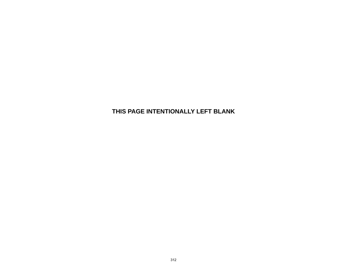### **THIS PAGE INTENTIONALLY LEFT BLANK**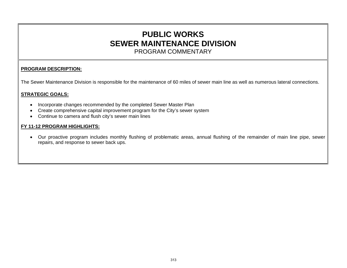# **PUBLIC WORKS SEWER MAINTENANCE DIVISION**

PROGRAM COMMENTARY

#### **PROGRAM DESCRIPTION:**

The Sewer Maintenance Division is responsible for the maintenance of 60 miles of sewer main line as well as numerous lateral connections.

#### **STRATEGIC GOALS:**

- Incorporate changes recommended by the completed Sewer Master Plan
- Create comprehensive capital improvement program for the City's sewer system
- Continue to camera and flush city's sewer main lines

#### **FY 11-12 PROGRAM HIGHLIGHTS:**

• Our proactive program includes monthly flushing of problematic areas, annual flushing of the remainder of main line pipe, sewer repairs, and response to sewer back ups.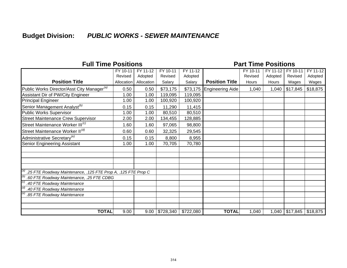## **Budget Division:** *PUBLIC WORKS - SEWER MAINTENANCE*

## **Full Time Positions**

### **Part Time Positions**

|                                                               | FY 10-11   | FY 11-12   | FY 10-11  | FY 11-12  |                         | FY 10-11 | FY 11-12     | FY 10-11         | $FY$ 11-12 |
|---------------------------------------------------------------|------------|------------|-----------|-----------|-------------------------|----------|--------------|------------------|------------|
|                                                               | Revised    | Adopted    | Revised   | Adopted   |                         | Revised  | Adopted      | Revised          | Adopted    |
| <b>Position Title</b>                                         | Allocation | Allocation | Salary    | Salary    | <b>Position Title</b>   | Hours    | <b>Hours</b> | Wages            | Wages      |
| Public Works Director/Asst City Manager <sup>(a)</sup>        | 0.50       | 0.50       | \$73,175  | \$73,175  | <b>Engineering Aide</b> | 1,040    | 1,040        | \$17,845         | \$18,875   |
| <b>Assistant Dir of PW/City Engineer</b>                      | 1.00       | 1.00       | 119,095   | 119,095   |                         |          |              |                  |            |
| <b>Principal Engineer</b>                                     | 1.00       | 1.00       | 100,920   | 100,920   |                         |          |              |                  |            |
| Senior Management Analyst <sup>(b)</sup>                      | 0.15       | 0.15       | 11,290    | 11,415    |                         |          |              |                  |            |
| <b>Public Works Supervisor</b>                                | 1.00       | 1.00       | 80,510    | 80,510    |                         |          |              |                  |            |
| <b>Street Maintenance Crew Supervisor</b>                     | 2.00       | 2.00       | 134,455   | 128,885   |                         |          |              |                  |            |
| Street Maintenance Worker III <sup>(c)</sup>                  | 1.60       | 1.60       | 97,065    | 98,800    |                         |          |              |                  |            |
| Street Maintenance Worker II <sup>(d)</sup>                   | 0.60       | 0.60       | 32,325    | 29,545    |                         |          |              |                  |            |
| Administrative Secretary <sup>(e)</sup>                       | 0.15       | 0.15       | 8,800     | 8,955     |                         |          |              |                  |            |
| Senior Engineering Assistant                                  | 1.00       | 1.00       | 70,705    | 70,780    |                         |          |              |                  |            |
|                                                               |            |            |           |           |                         |          |              |                  |            |
|                                                               |            |            |           |           |                         |          |              |                  |            |
|                                                               |            |            |           |           |                         |          |              |                  |            |
| .25 FTE Roadway Maintenance, .125 FTE Prop A, .125 FTE Prop C |            |            |           |           |                         |          |              |                  |            |
| .60 FTE Roadway Maintenance, .25 FTE CDBG                     |            |            |           |           |                         |          |              |                  |            |
| .40 FTE Roadway Maintenance                                   |            |            |           |           |                         |          |              |                  |            |
| .40 FTE Roadway Maintenance                                   |            |            |           |           |                         |          |              |                  |            |
| .85 FTE Roadway Maintenance                                   |            |            |           |           |                         |          |              |                  |            |
|                                                               |            |            |           |           |                         |          |              |                  |            |
|                                                               |            |            |           |           |                         |          |              |                  |            |
| <b>TOTAL</b>                                                  | 9.00       | 9.00       | \$728,340 | \$722,080 | <b>TOTAL</b>            | 1,040    |              | 1,040   \$17,845 | \$18,875   |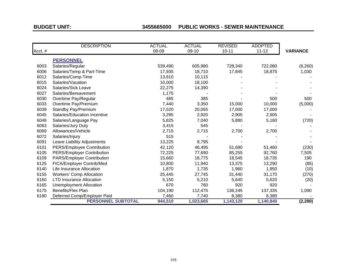#### **3455665000 PUBLIC WORKS - SEWER MAINTENANCE**

|        | <b>DESCRIPTION</b>              | <b>ACTUAL</b> | <b>ACTUAL</b> | <b>REVISED</b> | <b>ADOPTED</b> |                 |
|--------|---------------------------------|---------------|---------------|----------------|----------------|-----------------|
| Acct.# |                                 | 08-09         | 09-10         | $10 - 11$      | $11 - 12$      | <b>VARIANCE</b> |
|        | <b>PERSONNEL</b>                |               |               |                |                |                 |
| 6003   | Salaries/Regular                | 539,490       | 605,980       | 728,340        | 722,080        | (6, 260)        |
| 6006   | Salaries/Temp & Part-Time       | 17,935        | 18,710        | 17,845         | 18,875         | 1,030           |
| 6012   | Salaries/Comp-Time              | 13,610        | 10,115        |                |                |                 |
| 6015   | Salaries/Vacation               | 10,000        | 18,100        |                |                |                 |
| 6024   | Salaries/Sick Leave             | 22,275        | 14,390        |                |                |                 |
| 6027   | Salaries/Bereavement            | 1,175         |               |                |                |                 |
| 6030   | Overtime Pay/Regular            | 485           | 385           |                | 500            | 500             |
| 6033   | Overtime Pay/Premium            | 7,440         | 3,350         | 15,000         | 10,000         | (5,000)         |
| 6039   | Standby Pay/Premium             | 17,520        | 20,055        | 17,000         | 17,000         |                 |
| 6045   | Salaries/Education Incentive    | 3,295         | 2,920         | 2,905          | 2,905          |                 |
| 6048   | Salaries/Language Pay           | 5,825         | 7,040         | 5,880          | 5,160          | (720)           |
| 6063   | Salaries/Jury Duty              | 3,415         | 545           |                |                |                 |
| 6069   | Allowances/Vehicle              | 2,715         | 2,715         | 2,700          | 2,700          |                 |
| 6072   | Salaries/Injury                 | 515           |               |                |                |                 |
| 6091   | Leave Liability Adjustments     | 13,225        | 8,795         |                |                |                 |
| 6101   | PERS/Employee Contribution      | 42,120        | 46,495        | 51,690         | 51,460         | (230)           |
| 6105   | PERS/Employer Contribution      | 72,225        | 77,690        | 85,255         | 92,760         | 7,505           |
| 6109   | PARS/Employer Contribution      | 15,660        | 18,775        | 18,545         | 18,735         | 190             |
| 6125   | FICA/Employer Contrib/Med       | 10,800        | 11,940        | 13,375         | 13,290         | (85)            |
| 6140   | Life Insurance Allocation       | 1,870         | 1,735         | 1,960          | 1,950          | (10)            |
| 6155   | <b>Workers' Comp Allocation</b> | 25,445        | 27,745        | 31,440         | 31,170         | (270)           |
| 6160   | <b>LTD Insurance Allocation</b> | 5,150         | 5,210         | 5,640          | 5,620          | (20)            |
| 6165   | <b>Unemployment Allocation</b>  | 670           | 760           | 920            | 920            |                 |
| 6175   | <b>Benefits/Flex Plan</b>       | 104,190       | 112,475       | 136,245        | 137,335        | 1,090           |
| 6180   | Deferred Comp/Employer Paid     | 7,460         | 7,740         | 8,380          | 8,380          |                 |
|        | <b>PERSONNEL SUBTOTAL</b>       | 944,510       | 1,023,665     | 1,143,120      | 1,140,840      | (2, 280)        |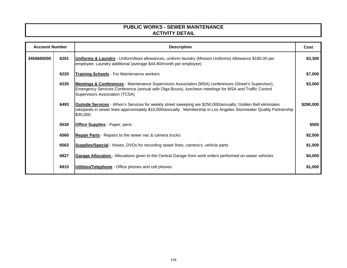#### **PUBLIC WORKS - SEWER MAINTENANCE ACTIVITY DETAIL**

| <b>Account Number</b> |      | <b>Description</b>                                                                                                                                                                                                                                          | Cost      |
|-----------------------|------|-------------------------------------------------------------------------------------------------------------------------------------------------------------------------------------------------------------------------------------------------------------|-----------|
| 3455665000            | 6201 | <b>Uniforms &amp; Laundry</b> - Uniform/boot allowances, uniform laundry (Mission Uniforms) Allowance \$185.00 per<br>employee; Laundry additional (average \$44.80/month per employee)                                                                     | \$3,300   |
|                       | 6220 | <b>Training Schools</b> - For Maintenance workers                                                                                                                                                                                                           | \$7,000   |
|                       | 6235 | <b>Meetings &amp; Conferences</b> - Maintenance Supervisors Association (MSA) conferences (Street's Supervisor),<br>Emergency Services Conference (annual with Olga Bruno), luncheon meetings for MSA and Traffic Control<br>Supervisors Association (TCSA) | \$3,000   |
|                       | 6493 | <b>Outside Services</b> - Athen's Services for weekly street sweeping are \$250,000/annually; Golden Bell eliminates<br>rats/pests in sewer lines-approximately \$10,000/annually. Membership in Los Angeles Stormwater Quality Partnership<br>\$30,000.    | \$290,000 |
|                       | 6530 | <b>Office Supplies - Paper, pens</b>                                                                                                                                                                                                                        | \$500     |
|                       | 6560 | <b>Repair Parts</b> - Repairs to the sewer vac & camera trucks                                                                                                                                                                                              | \$2,500   |
|                       | 6563 | Supplies/Special - Hoses, DVDs for recording sewer lines, camera's, vehicle parts                                                                                                                                                                           | \$1,000   |
|                       | 6827 | Garage Allocation - Allocations given to the Central Garage from work orders performed on sewer vehicles                                                                                                                                                    | \$4,000   |
|                       | 6915 | <b>Utilities/Telephone</b> - Office phones and cell phones                                                                                                                                                                                                  | \$1,000   |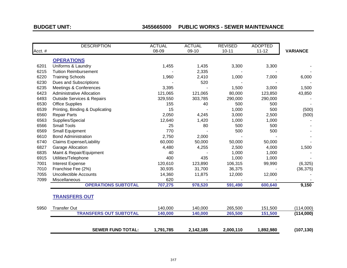#### **3455665000 PUBLIC WORKS - SEWER MAINTENANCE**

|         | <b>DESCRIPTION</b>                    | <b>ACTUAL</b> | <b>ACTUAL</b> | <b>REVISED</b> | <b>ADOPTED</b> |                 |
|---------|---------------------------------------|---------------|---------------|----------------|----------------|-----------------|
| Acct. # |                                       | 08-09         | 09-10         | $10 - 11$      | $11 - 12$      | <b>VARIANCE</b> |
|         | <b>OPERATIONS</b>                     |               |               |                |                |                 |
| 6201    | Uniforms & Laundry                    | 1,455         | 1,435         | 3,300          | 3,300          |                 |
| 6215    | <b>Tuition Reimbursement</b>          |               | 2,335         |                |                |                 |
| 6220    | <b>Training Schools</b>               | 1,960         | 2,410         | 1,000          | 7,000          | 6,000           |
| 6230    | Dues and Subscriptions                |               | 520           |                |                |                 |
| 6235    | <b>Meetings &amp; Conferences</b>     | 3,395         |               | 1,500          | 3,000          | 1,500           |
| 6423    | <b>Administrative Allocation</b>      | 121,065       | 121,065       | 80,000         | 123,850        | 43,850          |
| 6493    | <b>Outside Services &amp; Repairs</b> | 329,550       | 303,785       | 290,000        | 290,000        |                 |
| 6530    | <b>Office Supplies</b>                | 155           | 40            | 500            | 500            |                 |
| 6539    | Printing, Binding & Duplicating       | 15            |               | 1,000          | 500            | (500)           |
| 6560    | <b>Repair Parts</b>                   | 2,050         | 4,245         | 3,000          | 2,500          | (500)           |
| 6563    | Supplies/Special                      | 12,640        | 1,420         | 1,000          | 1,000          |                 |
| 6566    | <b>Small Tools</b>                    | 25            | 80            | 500            | 500            |                 |
| 6569    | <b>Small Equipment</b>                | 770           |               | 500            | 500            |                 |
| 6610    | <b>Bond Administration</b>            | 2,750         | 2,000         |                |                |                 |
| 6740    | <b>Claims Expense/Liability</b>       | 60,000        | 50,000        | 50,000         | 50,000         |                 |
| 6827    | Garage Allocation                     | 4,480         | 4,255         | 2,500          | 4,000          | 1,500           |
| 6835    | Maint & Repair/Equipment              | 40            |               | 1,000          | 1,000          |                 |
| 6915    | Utilities/Telephone                   | 400           | 435           | 1,000          | 1,000          |                 |
| 7001    | <b>Interest Expense</b>               | 120,610       | 123,890       | 106,315        | 99,990         | (6, 325)        |
| 7010    | Franchise Fee (2%)                    | 30,935        | 31,700        | 36,375         |                | (36, 375)       |
| 7055    | <b>Uncollectible Accounts</b>         | 14,360        | 11,875        | 12,000         | 12,000         |                 |
| 7099    | Miscellaneous                         | 620           |               |                |                |                 |
|         | <b>OPERATIONS SUBTOTAL</b>            | 707,275       | 978,520       | 591,490        | 600,640        | 9,150           |
|         |                                       |               |               |                |                |                 |
|         | <b>TRANSFERS OUT</b>                  |               |               |                |                |                 |
| 5950    | <b>Transfer Out</b>                   | 140,000       | 140,000       | 265,500        | 151,500        | (114,000)       |
|         | <b>TRANSFERS OUT SUBTOTAL</b>         | 140,000       | 140,000       | 265,500        | 151,500        | (114,000)       |
|         |                                       |               |               |                |                |                 |
|         | <b>SEWER FUND TOTAL:</b>              | 1,791,785     | 2,142,185     | 2,000,110      | 1,892,980      | (107, 130)      |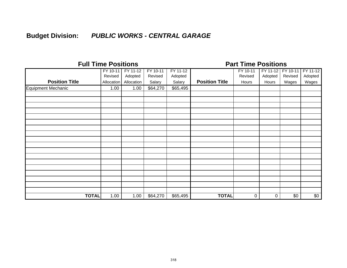## **Full Time Positions**

### **Part Time Positions**

|                           | FY 10-11   | FY 11-12   | FY 10-11         | FY 11-12 |                       | FY 10-11 | FY 11-12 | FY 10-11 | FY 11-12       |
|---------------------------|------------|------------|------------------|----------|-----------------------|----------|----------|----------|----------------|
|                           | Revised    | Adopted    | Revised          | Adopted  |                       | Revised  | Adopted  | Revised  | Adopted        |
| <b>Position Title</b>     | Allocation | Allocation | Salary           | Salary   | <b>Position Title</b> | Hours    | Hours    | Wages    | Wages          |
| <b>Equipment Mechanic</b> | 1.00       | 1.00       | \$64,270         | \$65,495 |                       |          |          |          |                |
|                           |            |            |                  |          |                       |          |          |          |                |
|                           |            |            |                  |          |                       |          |          |          |                |
|                           |            |            |                  |          |                       |          |          |          |                |
|                           |            |            |                  |          |                       |          |          |          |                |
|                           |            |            |                  |          |                       |          |          |          |                |
|                           |            |            |                  |          |                       |          |          |          |                |
|                           |            |            |                  |          |                       |          |          |          |                |
|                           |            |            |                  |          |                       |          |          |          |                |
|                           |            |            |                  |          |                       |          |          |          |                |
|                           |            |            |                  |          |                       |          |          |          |                |
|                           |            |            |                  |          |                       |          |          |          |                |
|                           |            |            |                  |          |                       |          |          |          |                |
|                           |            |            |                  |          |                       |          |          |          |                |
|                           |            |            |                  |          |                       |          |          |          |                |
|                           |            |            |                  |          |                       |          |          |          |                |
|                           |            |            |                  |          |                       |          |          |          |                |
|                           |            |            |                  |          |                       |          |          |          |                |
| <b>TOTAL</b>              | 1.00       | 1.00       | $\sqrt{$64,270}$ | \$65,495 | <b>TOTAL</b>          | 0        | 0        | \$0      | $\sqrt[6]{30}$ |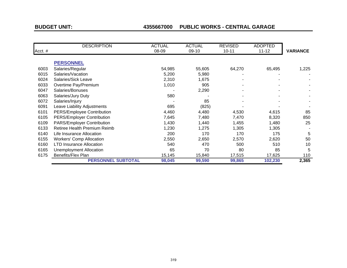#### **4355667000 PUBLIC WORKS - CENTRAL GARAGE**

|        | <b>DESCRIPTION</b>                | <b>ACTUAL</b> | <b>ACTUAL</b> | <b>REVISED</b> | <b>ADOPTED</b> |                 |
|--------|-----------------------------------|---------------|---------------|----------------|----------------|-----------------|
| Acct.# |                                   | 08-09         | 09-10         | $10 - 11$      | $11 - 12$      | <b>VARIANCE</b> |
|        |                                   |               |               |                |                |                 |
|        | <b>PERSONNEL</b>                  |               |               |                |                |                 |
| 6003   | Salaries/Regular                  | 54,985        | 55,605        | 64,270         | 65,495         | 1,225           |
| 6015   | Salaries/Vacation                 | 5,200         | 5,980         |                |                |                 |
| 6024   | Salaries/Sick Leave               | 2,310         | 1,675         |                |                |                 |
| 6033   | Overtime Pay/Premium              | 1,010         | 905           |                |                |                 |
| 6047   | Salaries/Bonuses                  |               | 2,290         |                |                |                 |
| 6063   | Salaries/Jury Duty                | 580           |               |                |                |                 |
| 6072   | Salaries/Injury                   |               | 85            |                |                |                 |
| 6091   | Leave Liability Adjustments       | 695           | (825)         |                |                |                 |
| 6101   | PERS/Employee Contribution        | 4,460         | 4,480         | 4,530          | 4,615          | 85              |
| 6105   | <b>PERS/Employer Contribution</b> | 7,645         | 7,480         | 7,470          | 8,320          | 850             |
| 6109   | PARS/Employer Contribution        | 1,430         | 1,440         | 1,455          | 1,480          | 25              |
| 6133   | Retiree Health Premium Reimb      | 1,230         | 1,275         | 1,305          | 1,305          |                 |
| 6140   | Life Insurance Allocation         | 200           | 170           | 170            | 175            | 5               |
| 6155   | <b>Workers' Comp Allocation</b>   | 2,550         | 2,650         | 2,570          | 2,620          | 50              |
| 6160   | <b>LTD Insurance Allocation</b>   | 540           | 470           | 500            | 510            | 10              |
| 6165   | <b>Unemployment Allocation</b>    | 65            | 70            | 80             | 85             | 5               |
| 6175   | Benefits/Flex Plan                | 15,145        | 15,840        | 17,515         | 17,625         | 110             |
|        | <b>PERSONNEL SUBTOTAL</b>         | 98,045        | 99,590        | 99,865         | 102,230        | 2,365           |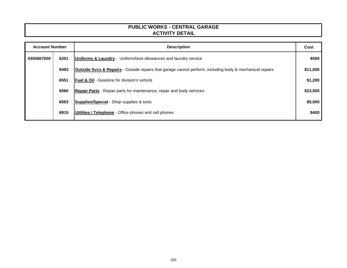#### **PUBLIC WORKS - CENTRAL GARAGE ACTIVITY DETAIL**

| <b>Account Number</b> |      | <b>Description</b>                                                                                                  | Cost     |
|-----------------------|------|---------------------------------------------------------------------------------------------------------------------|----------|
| 4355667000            | 6201 | <b>Uniforms &amp; Laundry</b> - Uniform/boot allowances and laundry service                                         | \$550    |
|                       | 6493 | <b>Outside Svcs &amp; Repairs</b> - Outside repairs that garage cannot perform, including body & mechanical repairs | \$11,000 |
|                       | 6551 | <b>Fuel &amp; Oil - Gasoline for division's vehicle</b>                                                             | \$1,200  |
|                       | 6560 | <b>Repair Parts</b> - Repair parts for maintenance, repair and body services                                        | \$23,000 |
|                       | 6563 | <b>Supplies/Special</b> - Shop supplies & tools                                                                     | \$5,000  |
|                       | 6915 | Utilities / Telephone - Office phones and cell phones                                                               | \$400    |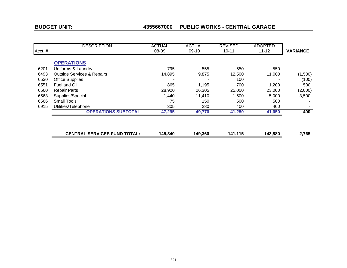#### **4355667000 PUBLIC WORKS - CENTRAL GARAGE**

| Acct. # | <b>DESCRIPTION</b>                    | <b>ACTUAL</b><br>08-09 | <b>ACTUAL</b><br>$09-10$ | <b>REVISED</b><br>$10 - 11$ | <b>ADOPTED</b><br>$11 - 12$ | <b>VARIANCE</b> |  |
|---------|---------------------------------------|------------------------|--------------------------|-----------------------------|-----------------------------|-----------------|--|
|         | <b>OPERATIONS</b>                     |                        |                          |                             |                             |                 |  |
| 6201    | Uniforms & Laundry                    | 795                    | 555                      | 550                         | 550                         |                 |  |
| 6493    | <b>Outside Services &amp; Repairs</b> | 14,895                 | 9,875                    | 12,500                      | 11,000                      | (1,500)         |  |
| 6530    | <b>Office Supplies</b>                | ٠                      |                          | 100                         |                             | (100)           |  |
| 6551    | Fuel and Oil                          | 865                    | 1,195                    | 700                         | 1,200                       | 500             |  |
| 6560    | <b>Repair Parts</b>                   | 28,920                 | 26,305                   | 25,000                      | 23,000                      | (2,000)         |  |
| 6563    | Supplies/Special                      | 1.440                  | 11,410                   | 1,500                       | 5,000                       | 3,500           |  |
| 6566    | <b>Small Tools</b>                    | 75                     | 150                      | 500                         | 500                         |                 |  |
| 6915    | Utilities/Telephone                   | 305                    | 280                      | 400                         | 400                         |                 |  |
|         | <b>OPERATIONS SUBTOTAL</b>            | 47,295                 | 49,770                   | 41,250                      | 41,650                      | 400             |  |
|         |                                       |                        |                          |                             |                             |                 |  |
|         | <b>CENTRAL SERVICES FUND TOTAL:</b>   | 145,340                | 149,360                  | 141,115                     | 143,880                     | 2,765           |  |